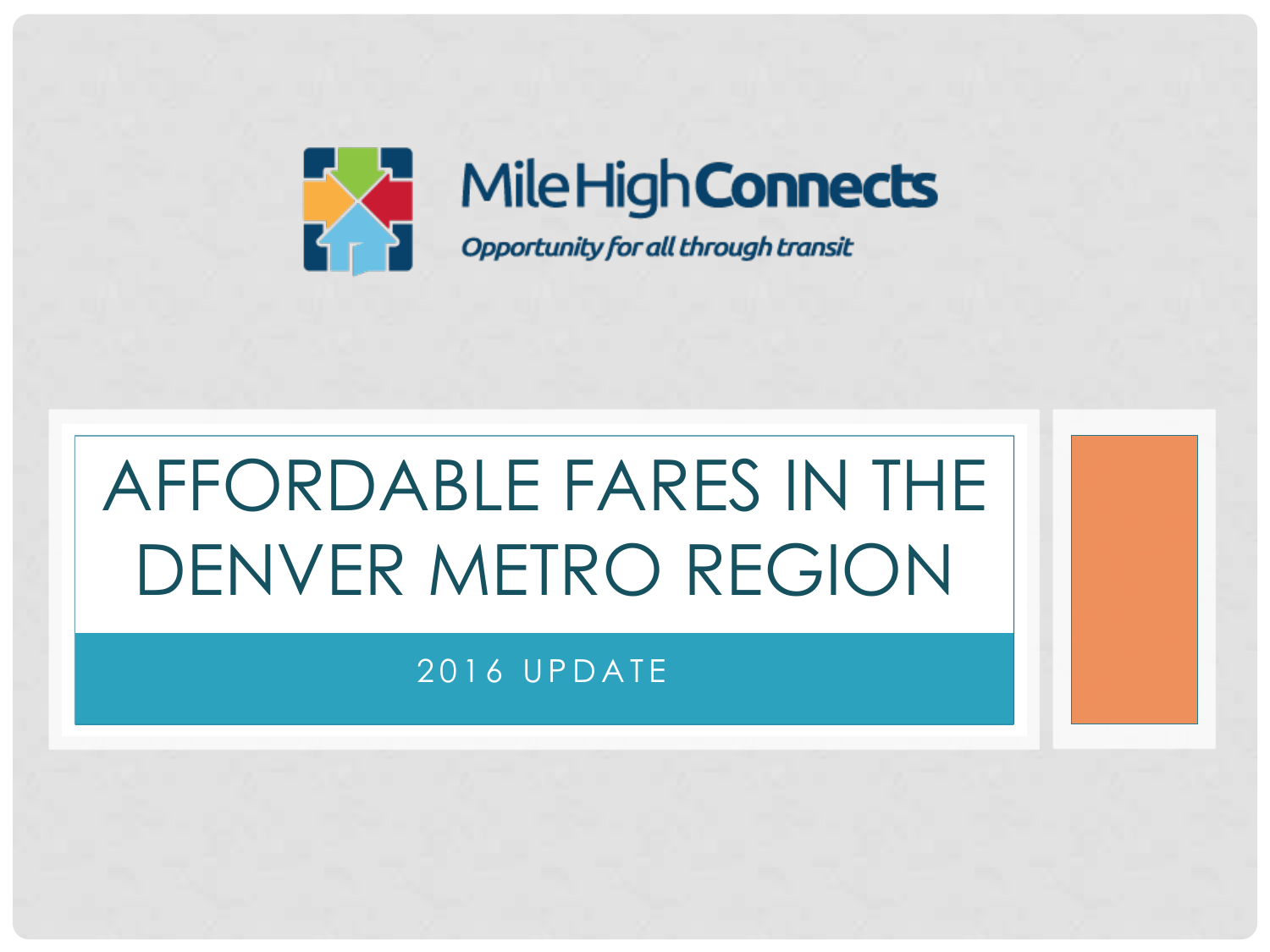

# AFFORDABLE FARES IN THE DENVER METRO REGION

### 2016 UPDATE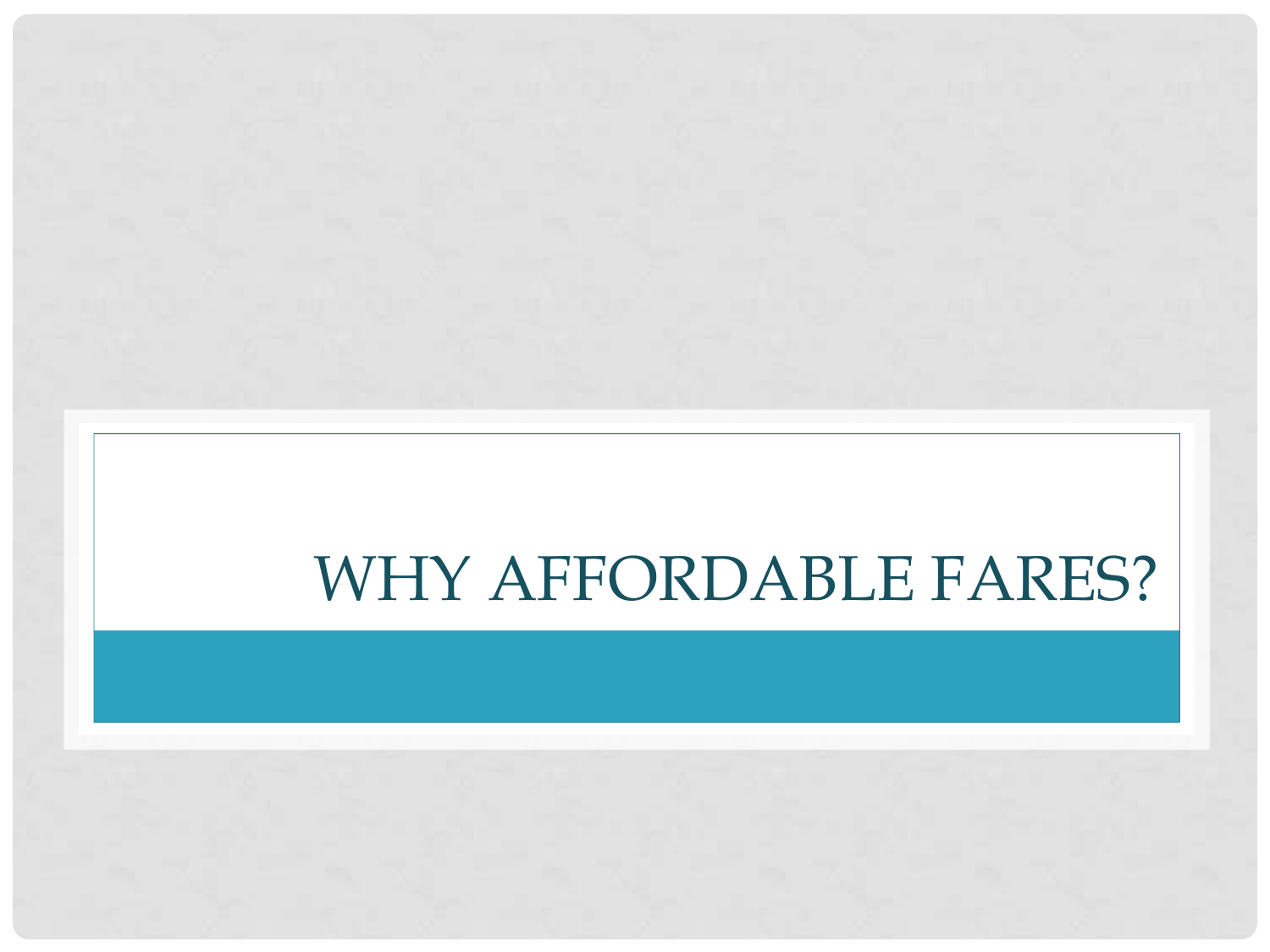# WHY AFFORDABLE FARES?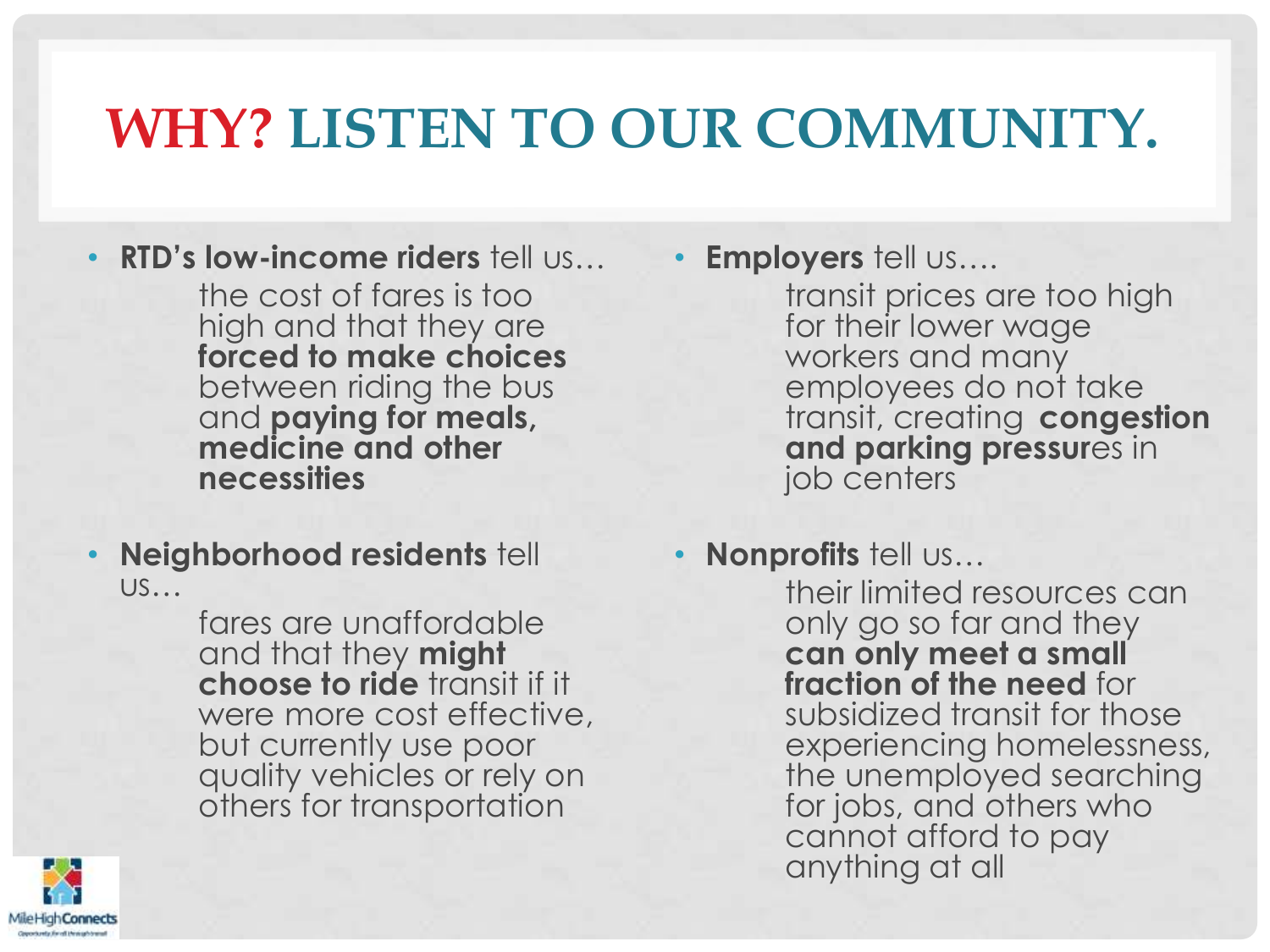### **WHY? LISTEN TO OUR COMMUNITY.**

• **RTD's low-income riders** tell us…

the cost of fares is too high and that they are **forced to make choices**  between riding the bus and **paying for meals, medicine and other necessities**

• **Neighborhood residents** tell us…

> fares are unaffordable and that they **might choose to ride** transit if it were more cost effective, but currently use poor quality vehicles or rely on others for transportation



transit prices are too high for their lower wage workers and many employees do not take transit, creating **congestion and parking pressur**es in job centers

• **Nonprofits** tell us…

their limited resources can only go so far and they **can only meet a small fraction of the need** for subsidized transit for those experiencing homelessness, the unemployed searching for jobs, and others who cannot afford to pay anything at all

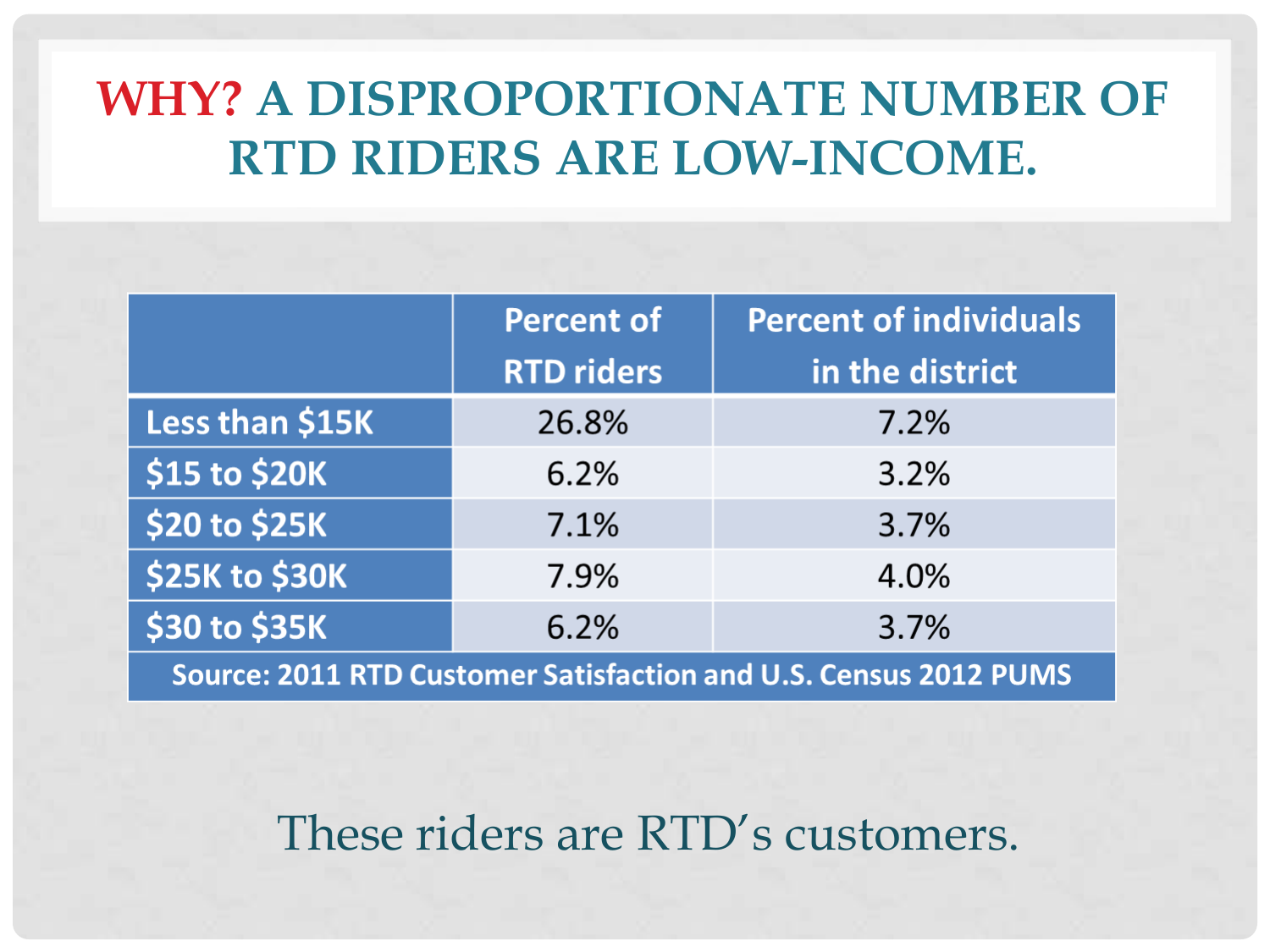### **WHY? A DISPROPORTIONATE NUMBER OF RTD RIDERS ARE LOW-INCOME.**

|                                                                  | Percent of        | <b>Percent of individuals</b> |  |  |  |
|------------------------------------------------------------------|-------------------|-------------------------------|--|--|--|
|                                                                  | <b>RTD riders</b> | in the district               |  |  |  |
| Less than \$15K                                                  | 26.8%             | 7.2%                          |  |  |  |
| \$15 to \$20K                                                    | 6.2%              | 3.2%                          |  |  |  |
| \$20 to \$25K                                                    | 7.1%              | 3.7%                          |  |  |  |
| \$25K to \$30K                                                   | 7.9%              | 4.0%                          |  |  |  |
| \$30 to \$35K                                                    | 6.2%              | 3.7%                          |  |  |  |
| Source: 2011 RTD Customer Satisfaction and U.S. Census 2012 PUMS |                   |                               |  |  |  |

These riders are RTD's customers.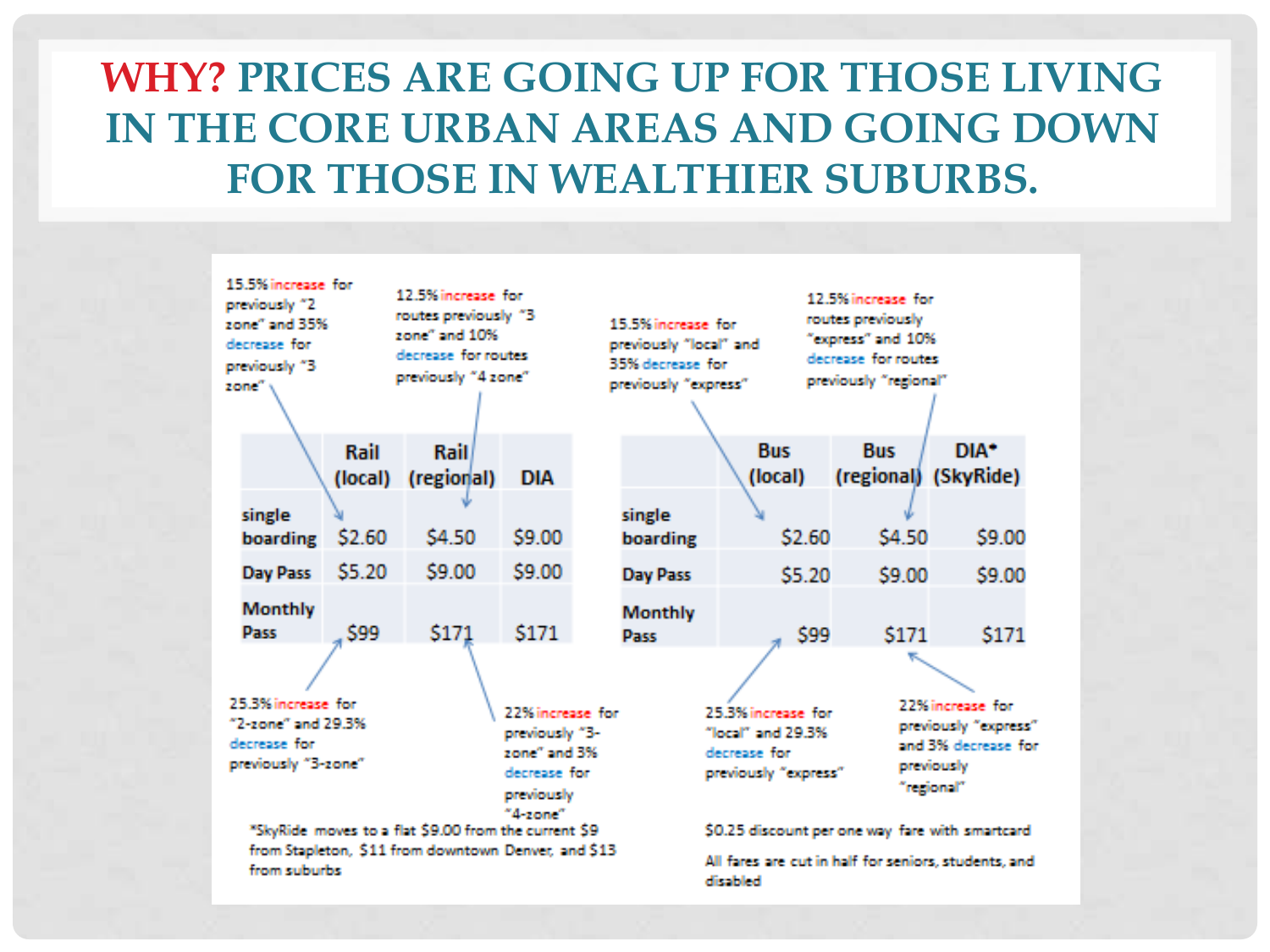### **WHY? PRICES ARE GOING UP FOR THOSE LIVING IN THE CORE URBAN AREAS AND GOING DOWN FOR THOSE IN WEALTHIER SUBURBS.**

|                                                                                                                                                                                                                                               | 15.5% increase for<br>previously "2<br>zone" and 35%<br>decrease for<br>previously "3<br>zone": |        | 12.5% increase for<br>routes previously "3<br>zone" and 10%<br>decrease for routes<br>previously "4 zone" |            | 15.5% increase for<br>previously "local" and<br>35% decrease for<br>previously "express"                                                 |  |                       | 12.5% increase for<br>routes previously<br>"express" and 10%<br>decrease for routes<br>previously "regional" |                  |
|-----------------------------------------------------------------------------------------------------------------------------------------------------------------------------------------------------------------------------------------------|-------------------------------------------------------------------------------------------------|--------|-----------------------------------------------------------------------------------------------------------|------------|------------------------------------------------------------------------------------------------------------------------------------------|--|-----------------------|--------------------------------------------------------------------------------------------------------------|------------------|
|                                                                                                                                                                                                                                               |                                                                                                 | Rail   | <b>Rail</b><br>(local) (regional)                                                                         | <b>DIA</b> |                                                                                                                                          |  | <b>Bus</b><br>(local) | <b>Bus</b><br>(regional) (SkyRide)                                                                           | DIA <sup>+</sup> |
|                                                                                                                                                                                                                                               | single<br>boarding                                                                              | \$2.60 | \$4.50                                                                                                    | \$9.00     | single<br>boarding                                                                                                                       |  | \$2.60                | \$4.50                                                                                                       | \$9.00           |
|                                                                                                                                                                                                                                               | Day Pass                                                                                        | \$5.20 | \$9.00                                                                                                    | \$9.00     | Day Pass                                                                                                                                 |  | \$5.20                | \$9.00                                                                                                       | \$9.00           |
|                                                                                                                                                                                                                                               | <b>Monthly</b><br><b>Pass</b>                                                                   | \$99   | \$171                                                                                                     | \$171      | <b>Monthly</b><br><b>Pass</b>                                                                                                            |  | \$99                  | \$171                                                                                                        | \$171            |
| 25.3% increase for<br>22% increase for<br>"2-zone" and 29.3%<br>previously "3-<br>decrease for<br>zone" and 3%<br>previously "3-zone"<br>decrease for<br>previously<br>$"4$ -zone $"$<br>"SkyRide moves to a flat \$9.00 from the current \$9 |                                                                                                 |        |                                                                                                           |            | 25.3% increase for<br>" $local"$ and $29.3\%$<br>decrease for<br>previously "express"<br>\$0.25 discount per one way fare with smartcard |  |                       | 22% increase for<br>previously "express"<br>and 3% decrease for<br>previously<br>"regional"                  |                  |
|                                                                                                                                                                                                                                               | from Stapleton, \$11 from downtown Denver, and \$13<br>from suburbs                             |        |                                                                                                           |            | All fares are cut in half for seniors, students, and<br>disabled                                                                         |  |                       |                                                                                                              |                  |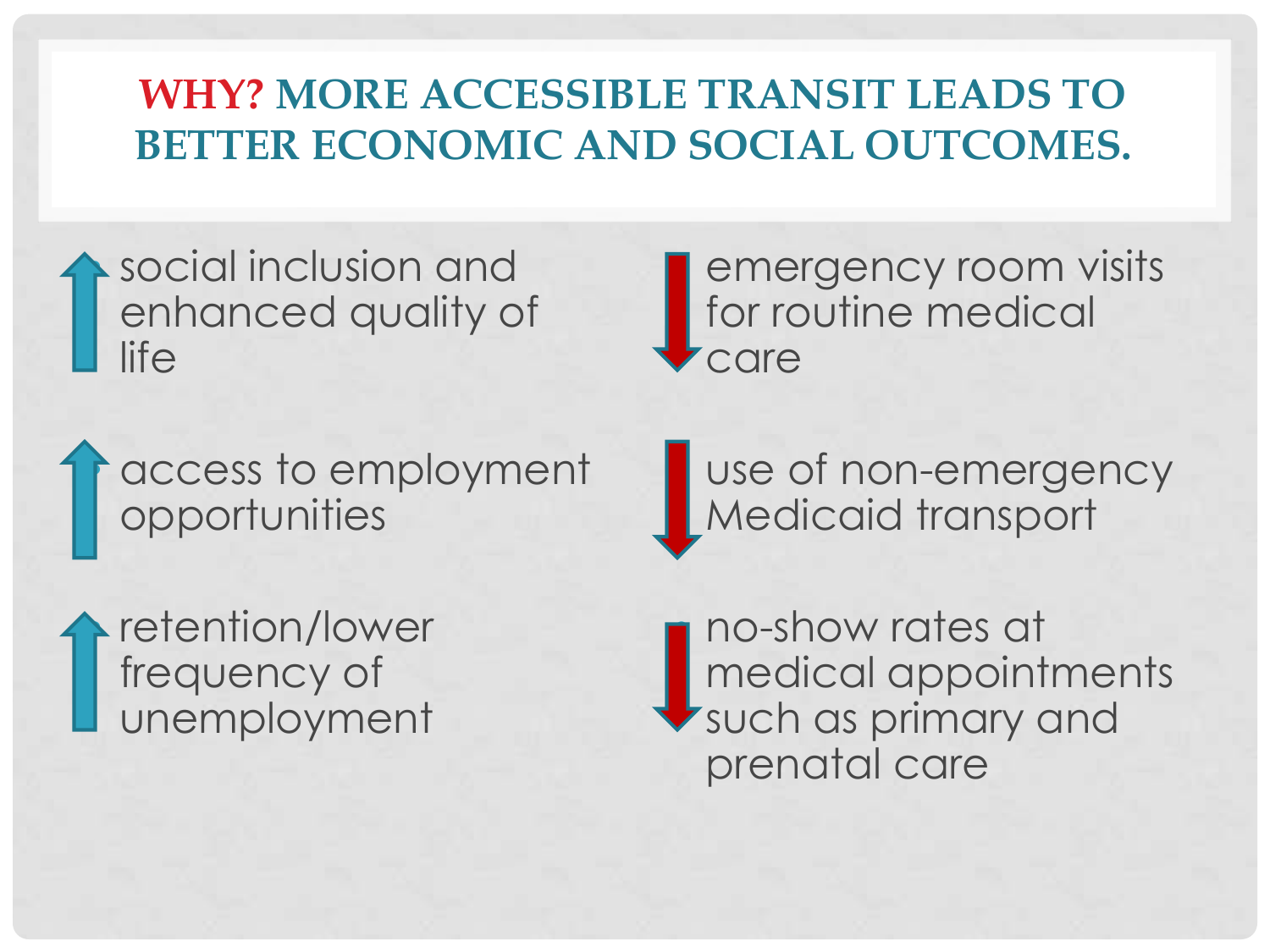### **WHY? MORE ACCESSIBLE TRANSIT LEADS TO BETTER ECONOMIC AND SOCIAL OUTCOMES.**

social inclusion and enhanced quality of life

• access to employment opportunities

retention/lower frequency of unemployment

**emergency room visits** for routine medical care

use of non-emergency Medicaid transport

• no-show rates at medical appointments such as primary and prenatal care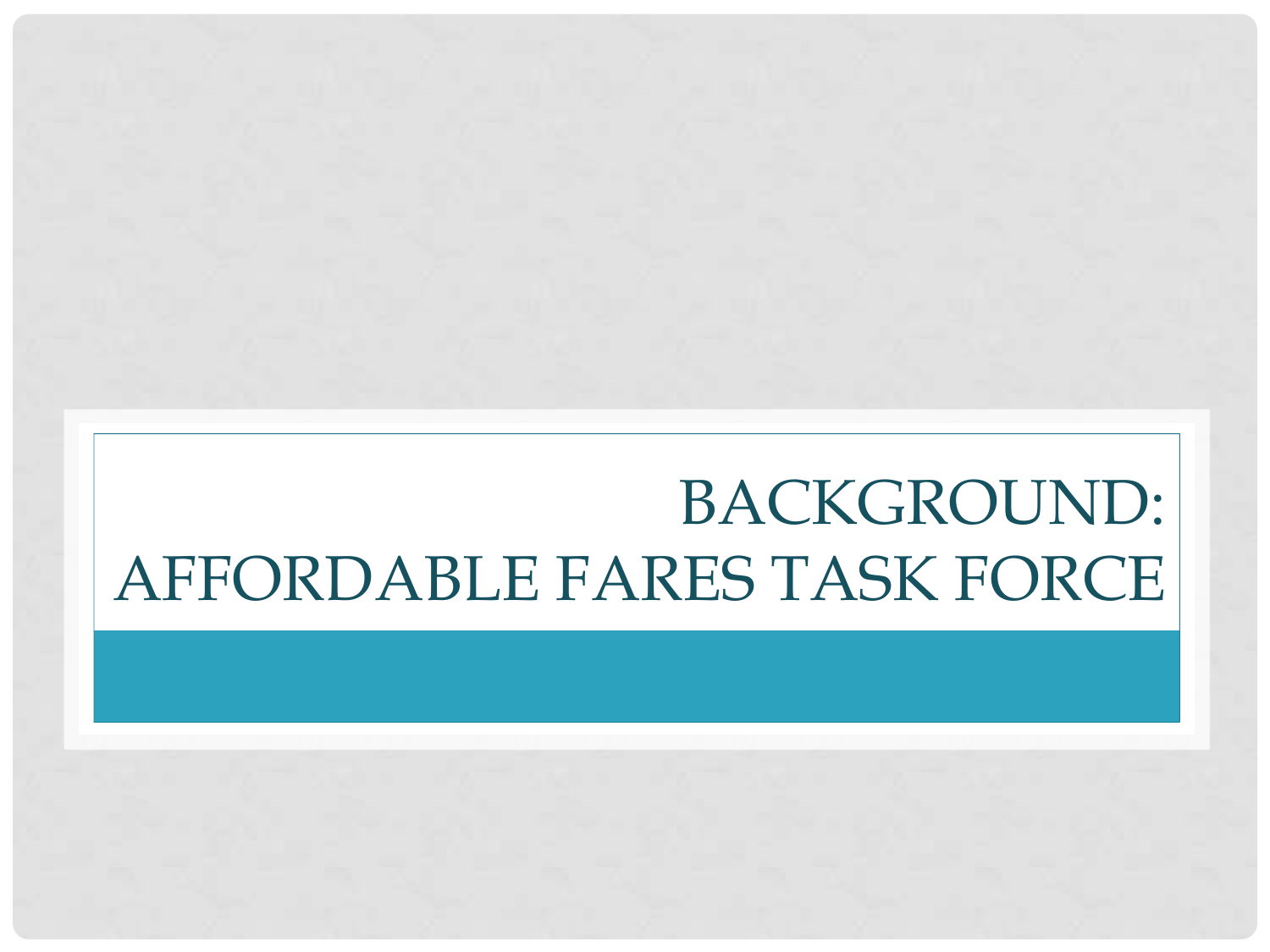# BACKGROUND: AFFORDABLE FARES TASK FORCE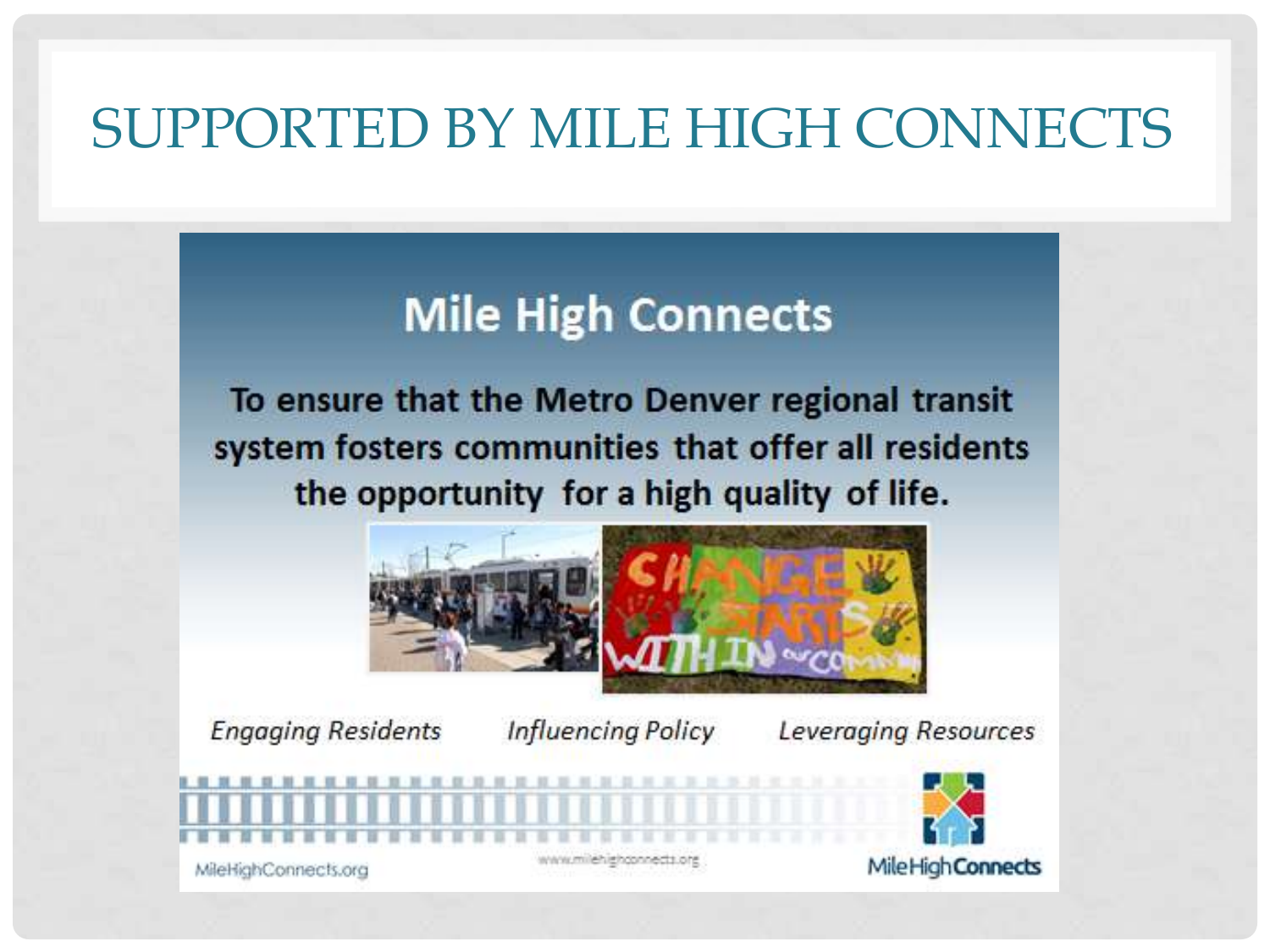### SUPPORTED BY MILE HIGH CONNECTS

### **Mile High Connects**

To ensure that the Metro Denver regional transit system fosters communities that offer all residents the opportunity for a high quality of life.



**Engaging Residents** 

**Influencing Policy** 

Leveraging Resources

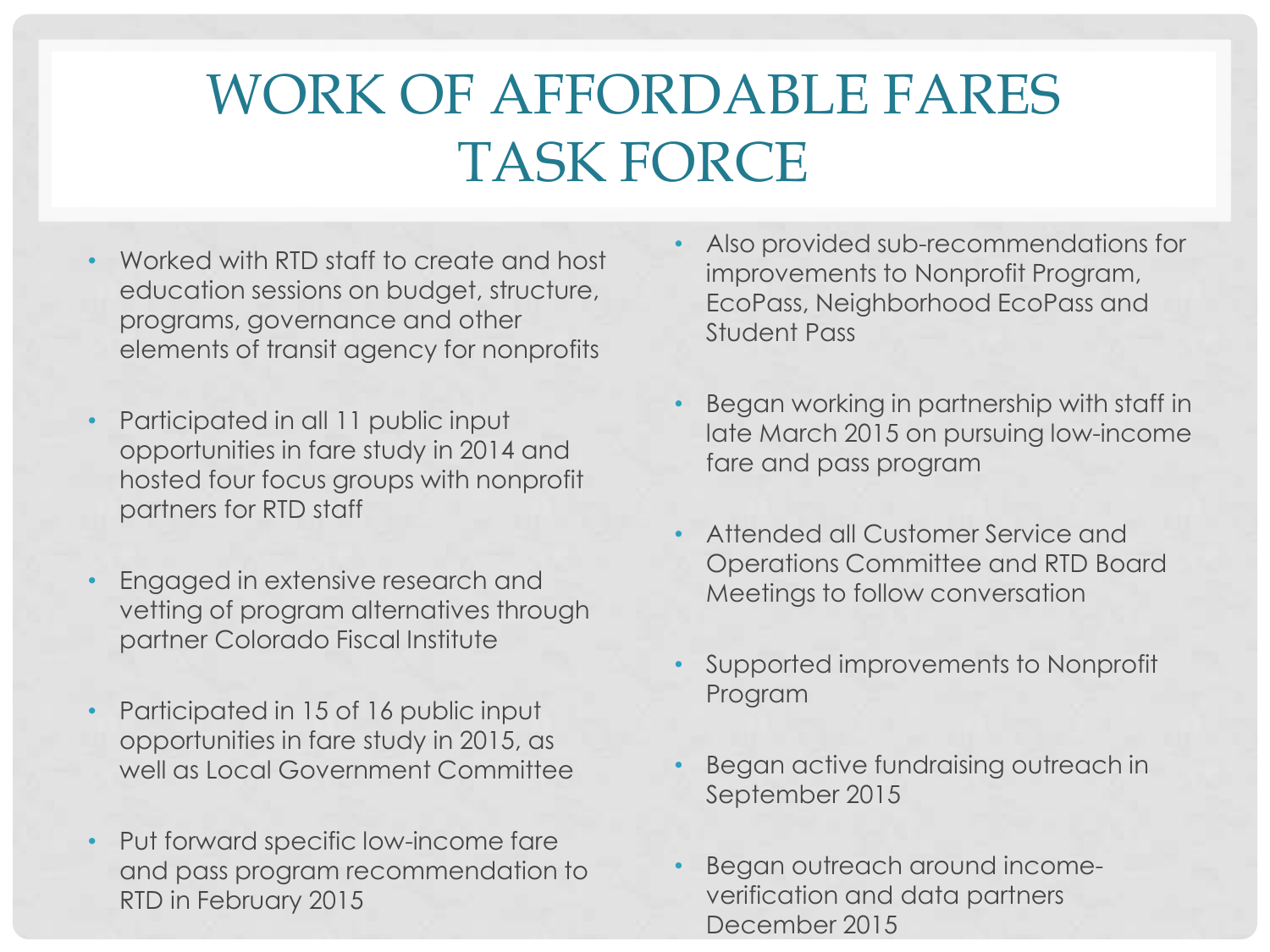### WORK OF AFFORDABLE FARES TASK FORCE

- Worked with RTD staff to create and host education sessions on budget, structure, programs, governance and other elements of transit agency for nonprofits
- Participated in all 11 public input opportunities in fare study in 2014 and hosted four focus groups with nonprofit partners for RTD staff
- Engaged in extensive research and vetting of program alternatives through partner Colorado Fiscal Institute
- Participated in 15 of 16 public input opportunities in fare study in 2015, as well as Local Government Committee
- Put forward specific low-income fare and pass program recommendation to RTD in February 2015
- Also provided sub-recommendations for improvements to Nonprofit Program, EcoPass, Neighborhood EcoPass and Student Pass
- Began working in partnership with staff in late March 2015 on pursuing low-income fare and pass program
- Attended all Customer Service and Operations Committee and RTD Board Meetings to follow conversation
- Supported improvements to Nonprofit Program
- Began active fundraising outreach in September 2015
- Began outreach around incomeverification and data partners December 2015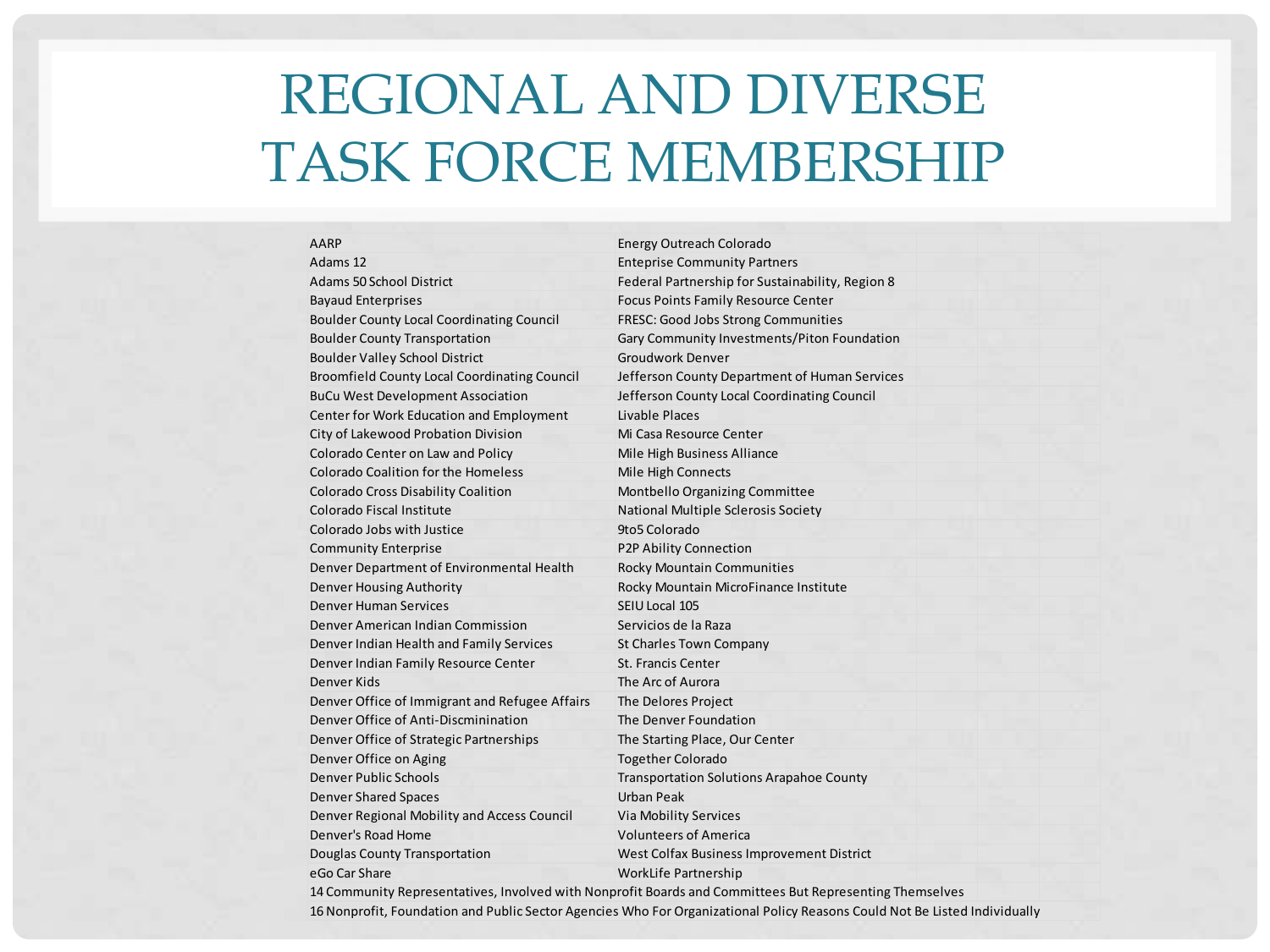### REGIONAL AND DIVERSE TASK FORCE MEMBERSHIP

| <b>AARP</b>                                         | Energy Outreach Colorado                                                                                |  |
|-----------------------------------------------------|---------------------------------------------------------------------------------------------------------|--|
| Adams 12                                            | <b>Enteprise Community Partners</b>                                                                     |  |
| Adams 50 School District                            | Federal Partnership for Sustainability, Region 8                                                        |  |
| <b>Bayaud Enterprises</b>                           | Focus Points Family Resource Center                                                                     |  |
| <b>Boulder County Local Coordinating Council</b>    | FRESC: Good Jobs Strong Communities                                                                     |  |
| <b>Boulder County Transportation</b>                | Gary Community Investments/Piton Foundation                                                             |  |
| <b>Boulder Valley School District</b>               | <b>Groudwork Denver</b>                                                                                 |  |
| <b>Broomfield County Local Coordinating Council</b> | Jefferson County Department of Human Services                                                           |  |
| <b>BuCu West Development Association</b>            | Jefferson County Local Coordinating Council                                                             |  |
| Center for Work Education and Employment            | Livable Places                                                                                          |  |
| City of Lakewood Probation Division                 | Mi Casa Resource Center                                                                                 |  |
| Colorado Center on Law and Policy                   | Mile High Business Alliance                                                                             |  |
| <b>Colorado Coalition for the Homeless</b>          | Mile High Connects                                                                                      |  |
| Colorado Cross Disability Coalition                 | Montbello Organizing Committee                                                                          |  |
| Colorado Fiscal Institute                           | National Multiple Sclerosis Society                                                                     |  |
| Colorado Jobs with Justice                          | 9to5 Colorado                                                                                           |  |
| <b>Community Enterprise</b>                         | P2P Ability Connection                                                                                  |  |
| Denver Department of Environmental Health           | <b>Rocky Mountain Communities</b>                                                                       |  |
| <b>Denver Housing Authority</b>                     | Rocky Mountain MicroFinance Institute                                                                   |  |
| Denver Human Services                               | SEIU Local 105                                                                                          |  |
| Denver American Indian Commission                   | Servicios de la Raza                                                                                    |  |
| Denver Indian Health and Family Services            | <b>St Charles Town Company</b>                                                                          |  |
| Denver Indian Family Resource Center                | <b>St. Francis Center</b>                                                                               |  |
| Denver Kids                                         | The Arc of Aurora                                                                                       |  |
| Denver Office of Immigrant and Refugee Affairs      | The Delores Project                                                                                     |  |
| Denver Office of Anti-Discminination                | The Denver Foundation                                                                                   |  |
| Denver Office of Strategic Partnerships             | The Starting Place, Our Center                                                                          |  |
| Denver Office on Aging                              | <b>Together Colorado</b>                                                                                |  |
| Denver Public Schools                               | <b>Transportation Solutions Arapahoe County</b>                                                         |  |
| <b>Denver Shared Spaces</b>                         | Urban Peak                                                                                              |  |
| Denver Regional Mobility and Access Council         | Via Mobility Services                                                                                   |  |
| Denver's Road Home                                  | <b>Volunteers of America</b>                                                                            |  |
| Douglas County Transportation                       | West Colfax Business Improvement District                                                               |  |
| eGo Car Share                                       | WorkLife Partnership                                                                                    |  |
|                                                     | 14 Community Representatives, Involved with Nonprofit Boards and Committees But Representing Themselves |  |

16 Nonprofit, Foundation and Public Sector Agencies Who For Organizational Policy Reasons Could Not Be Listed Individually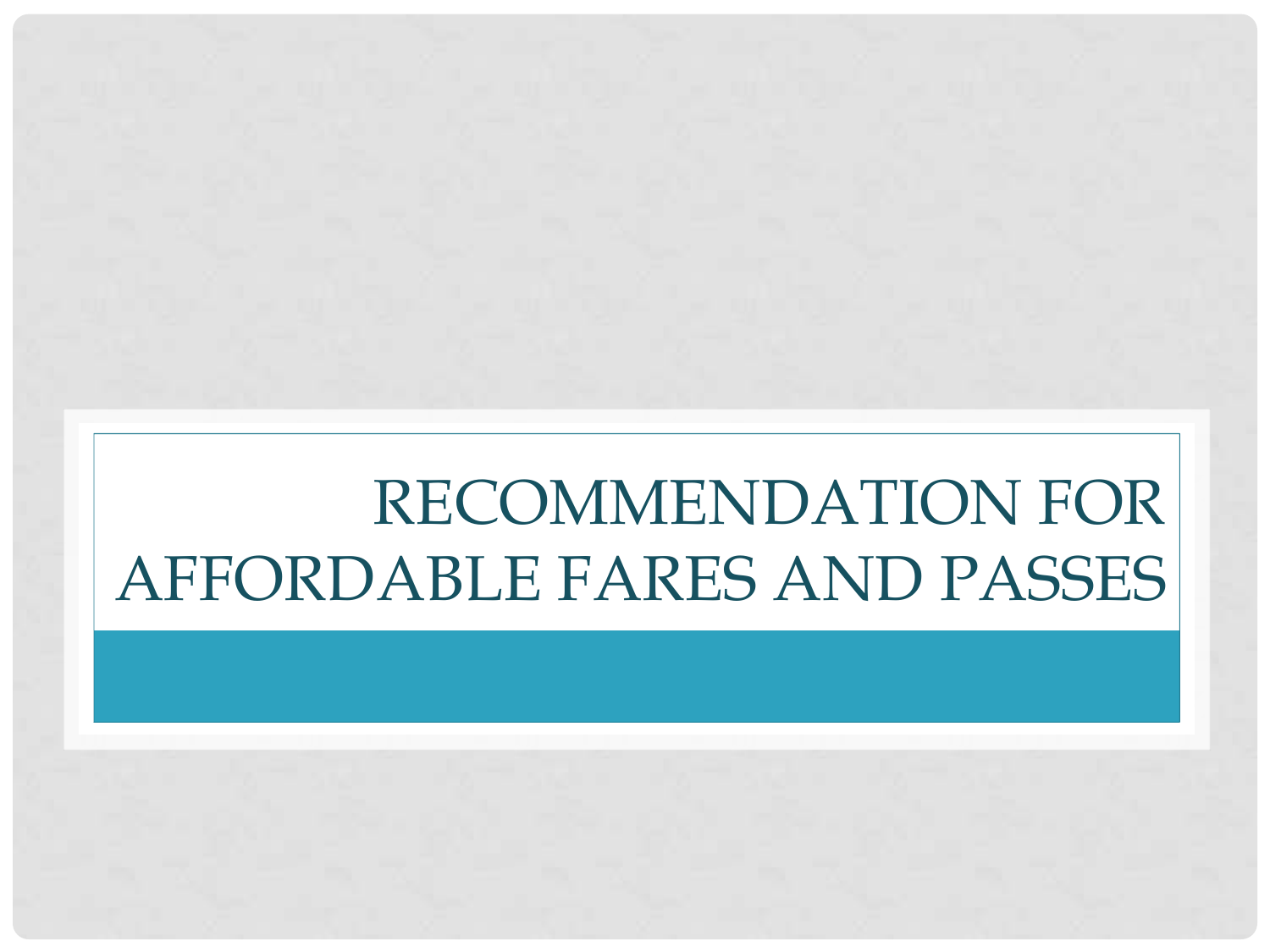# RECOMMENDATION FOR AFFORDABLE FARES AND PASSES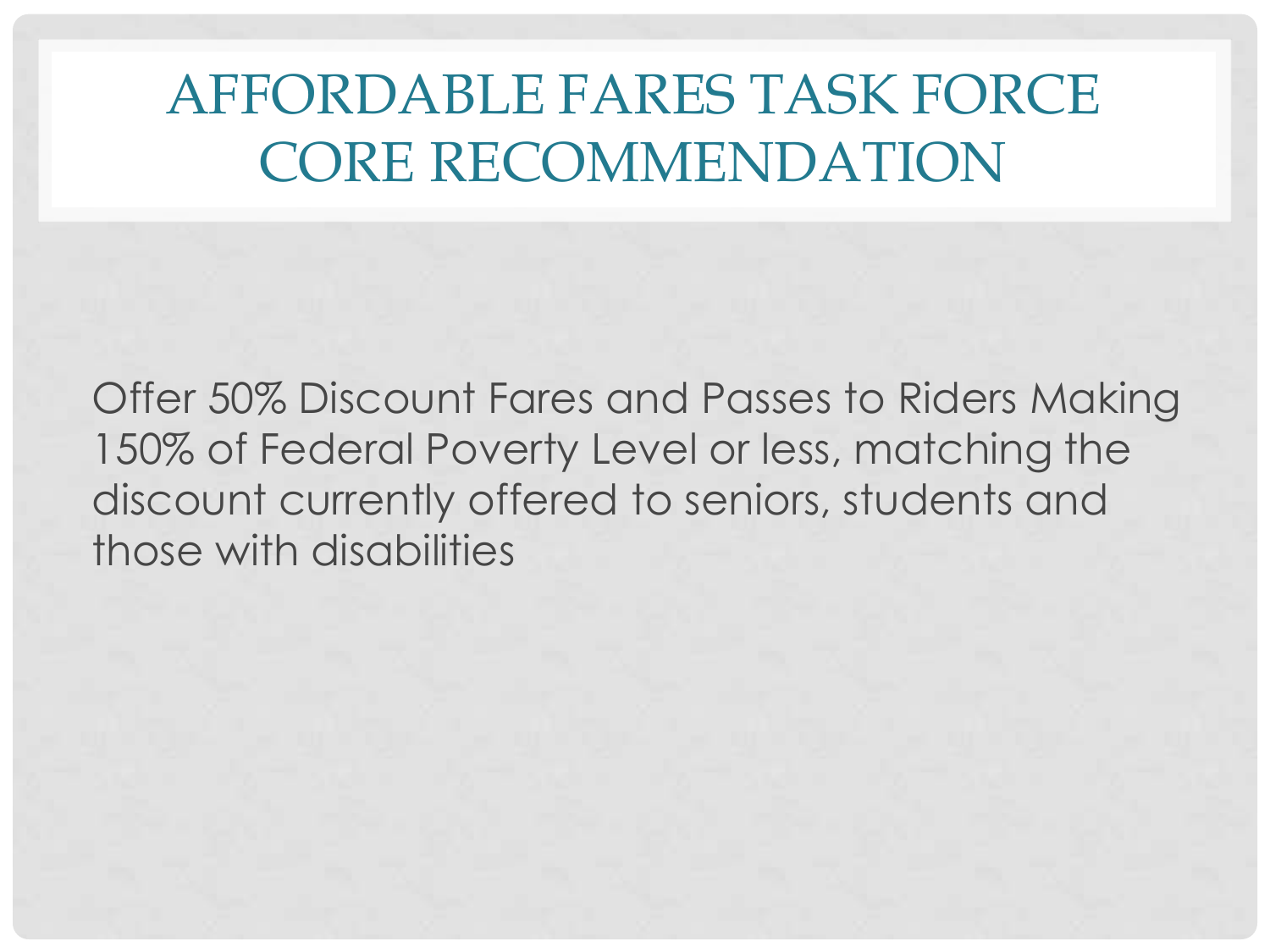### AFFORDABLE FARES TASK FORCE CORE RECOMMENDATION

Offer 50% Discount Fares and Passes to Riders Making 150% of Federal Poverty Level or less, matching the discount currently offered to seniors, students and those with disabilities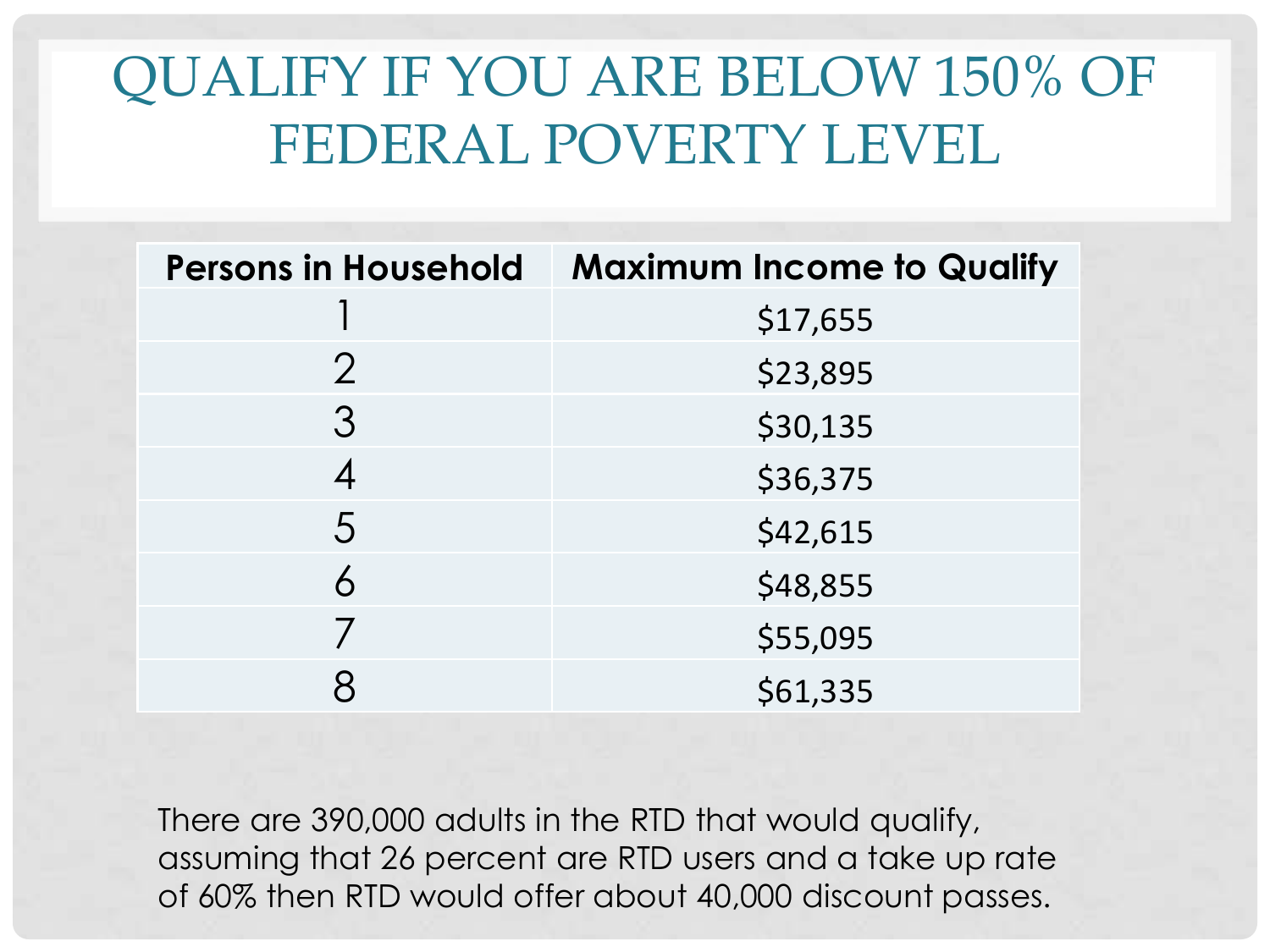### QUALIFY IF YOU ARE BELOW 150% OF FEDERAL POVERTY LEVEL

| <b>Persons in Household</b> | <b>Maximum Income to Qualify</b> |
|-----------------------------|----------------------------------|
|                             | \$17,655                         |
| $\overline{2}$              | \$23,895                         |
| 3                           | \$30,135                         |
|                             | \$36,375                         |
| 5                           | \$42,615                         |
| 6                           | \$48,855                         |
|                             | \$55,095                         |
|                             | \$61,335                         |

There are 390,000 adults in the RTD that would qualify, assuming that 26 percent are RTD users and a take up rate of 60% then RTD would offer about 40,000 discount passes.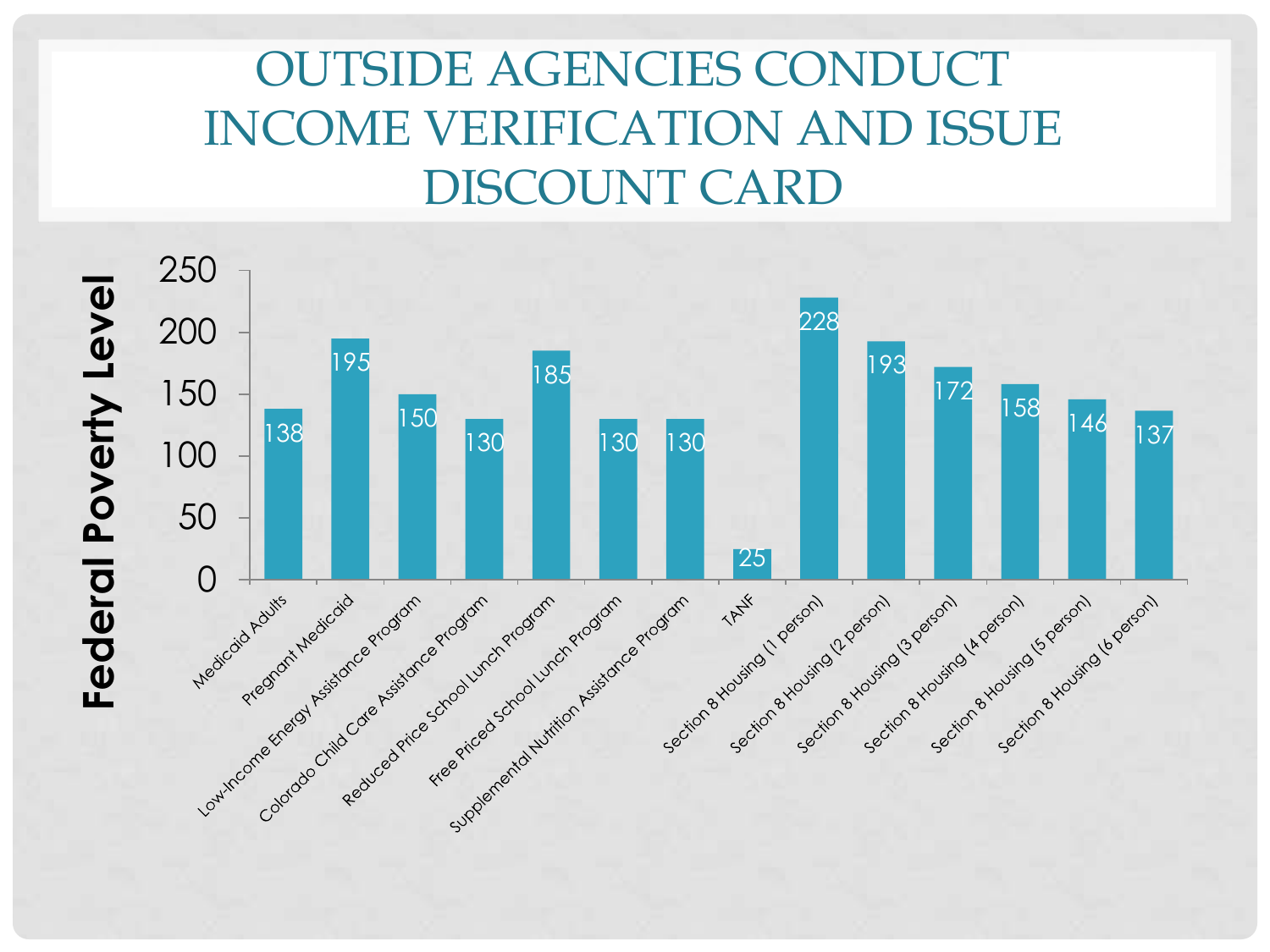### OUTSIDE AGENCIES CONDUCT INCOME VERIFICATION AND ISSUE DISCOUNT CARD

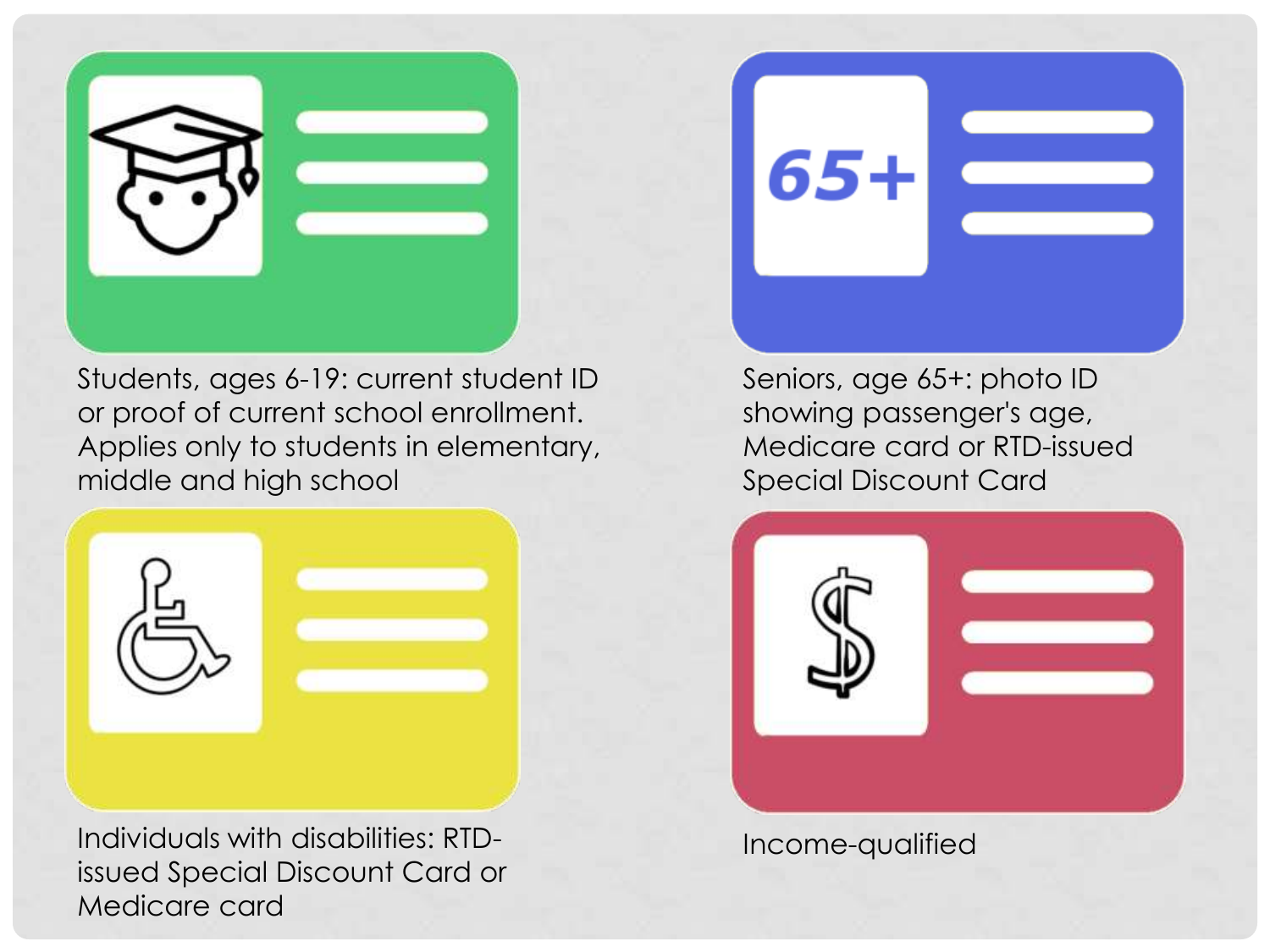

Students, ages 6-19: current student ID or proof of current school enrollment. Applies only to students in elementary, middle and high school



Individuals with disabilities: RTDissued Special Discount Card or Medicare card

Seniors, age 65+: photo ID showing passenger's age, Medicare card or RTD-issued Special Discount Card



Income-qualified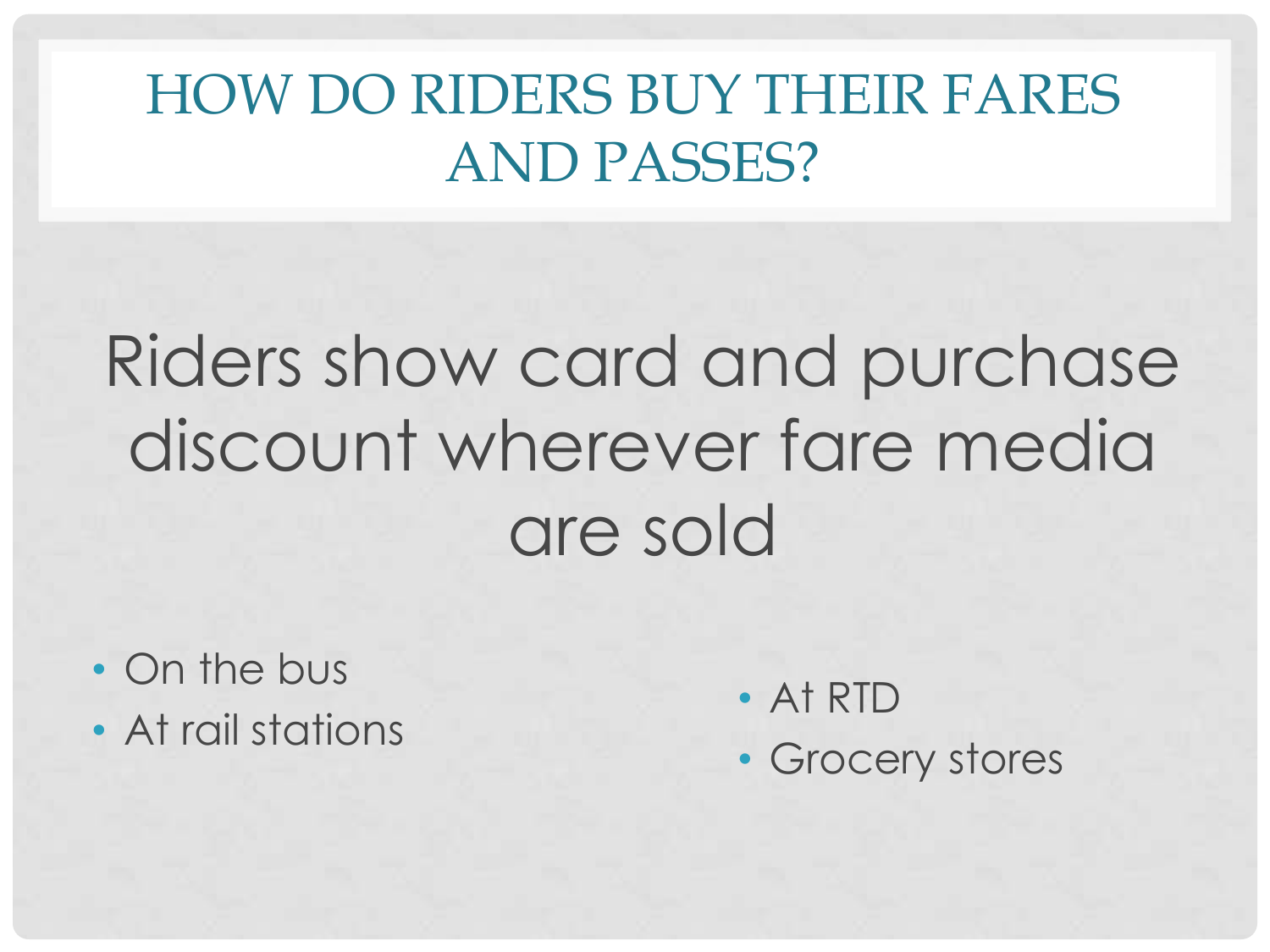### HOW DO RIDERS BUY THEIR FARES AND PASSES?

# Riders show card and purchase discount wherever fare media are sold

- On the bus
- At rail stations
- At RTD
- Grocery stores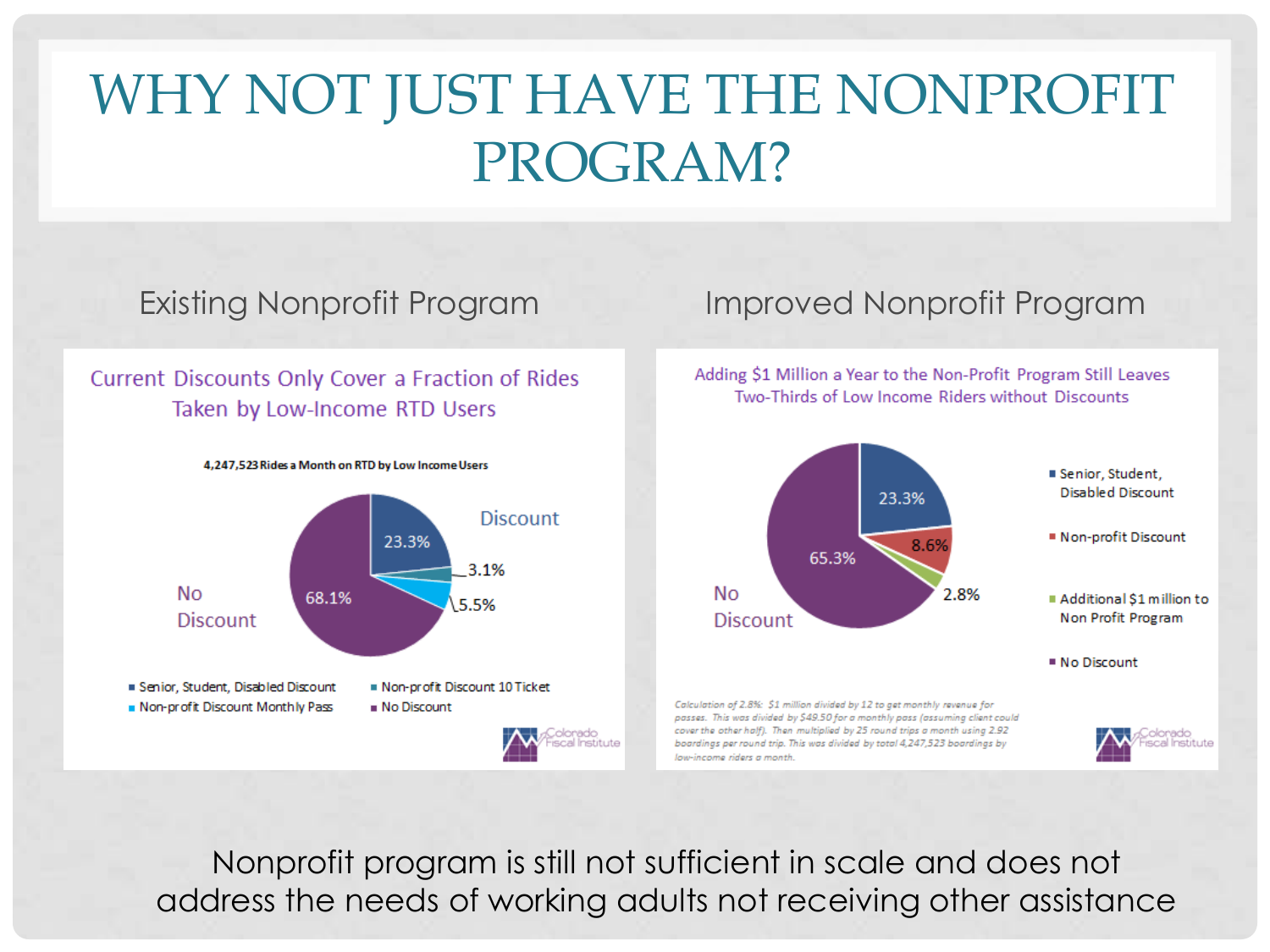### WHY NOT JUST HAVE THE NONPROFIT PROGRAM?

### Current Discounts Only Cover a Fraction of Rides Taken by Low-Income RTD Users



### Existing Nonprofit Program Improved Nonprofit Program

Adding \$1 Million a Year to the Non-Profit Program Still Leaves Two-Thirds of Low Income Riders without Discounts



Nonprofit program is still not sufficient in scale and does not address the needs of working adults not receiving other assistance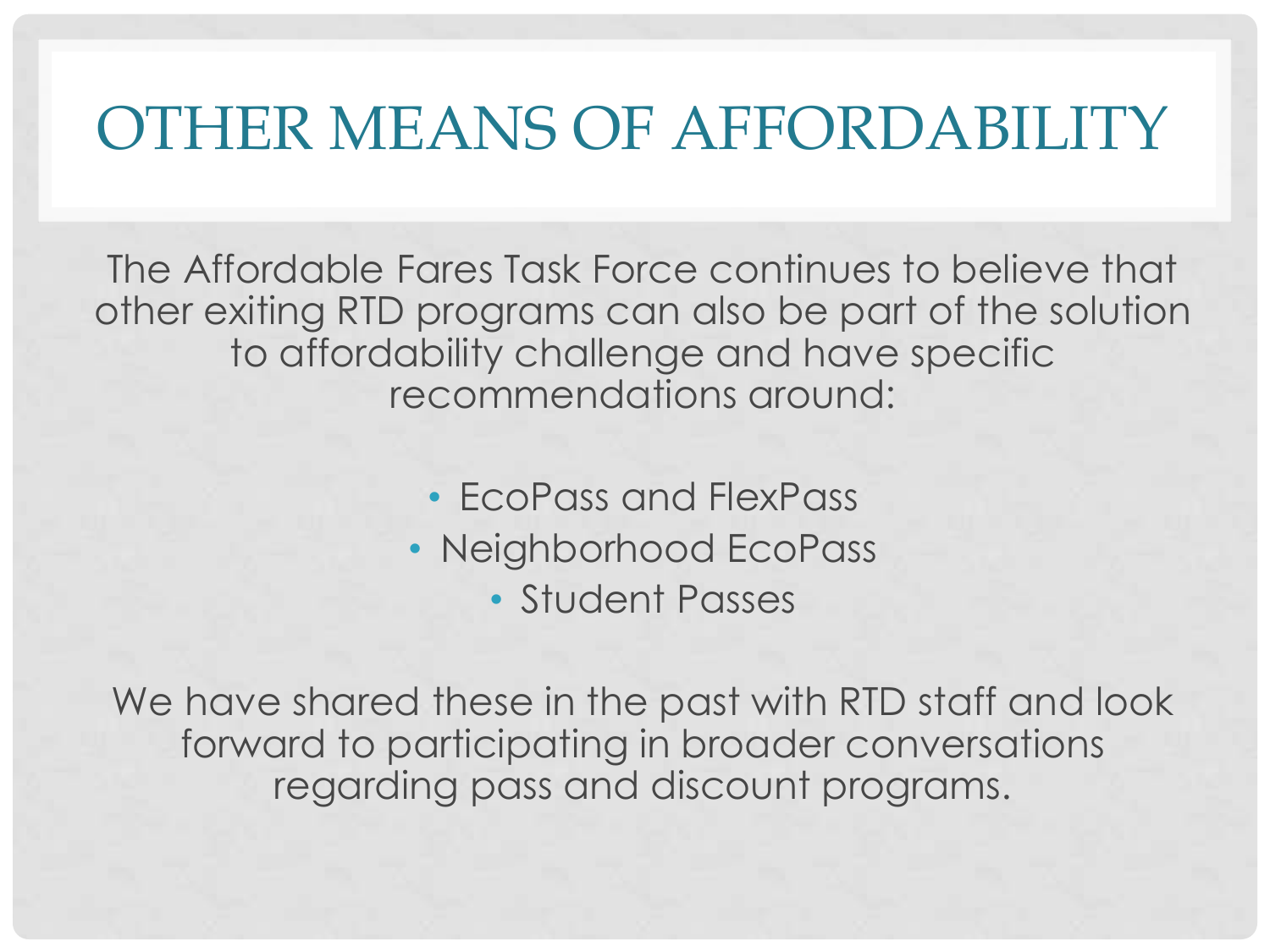### OTHER MEANS OF AFFORDABILITY

The Affordable Fares Task Force continues to believe that other exiting RTD programs can also be part of the solution to affordability challenge and have specific recommendations around:

- EcoPass and FlexPass
- Neighborhood EcoPass
	- Student Passes

We have shared these in the past with RTD staff and look forward to participating in broader conversations regarding pass and discount programs.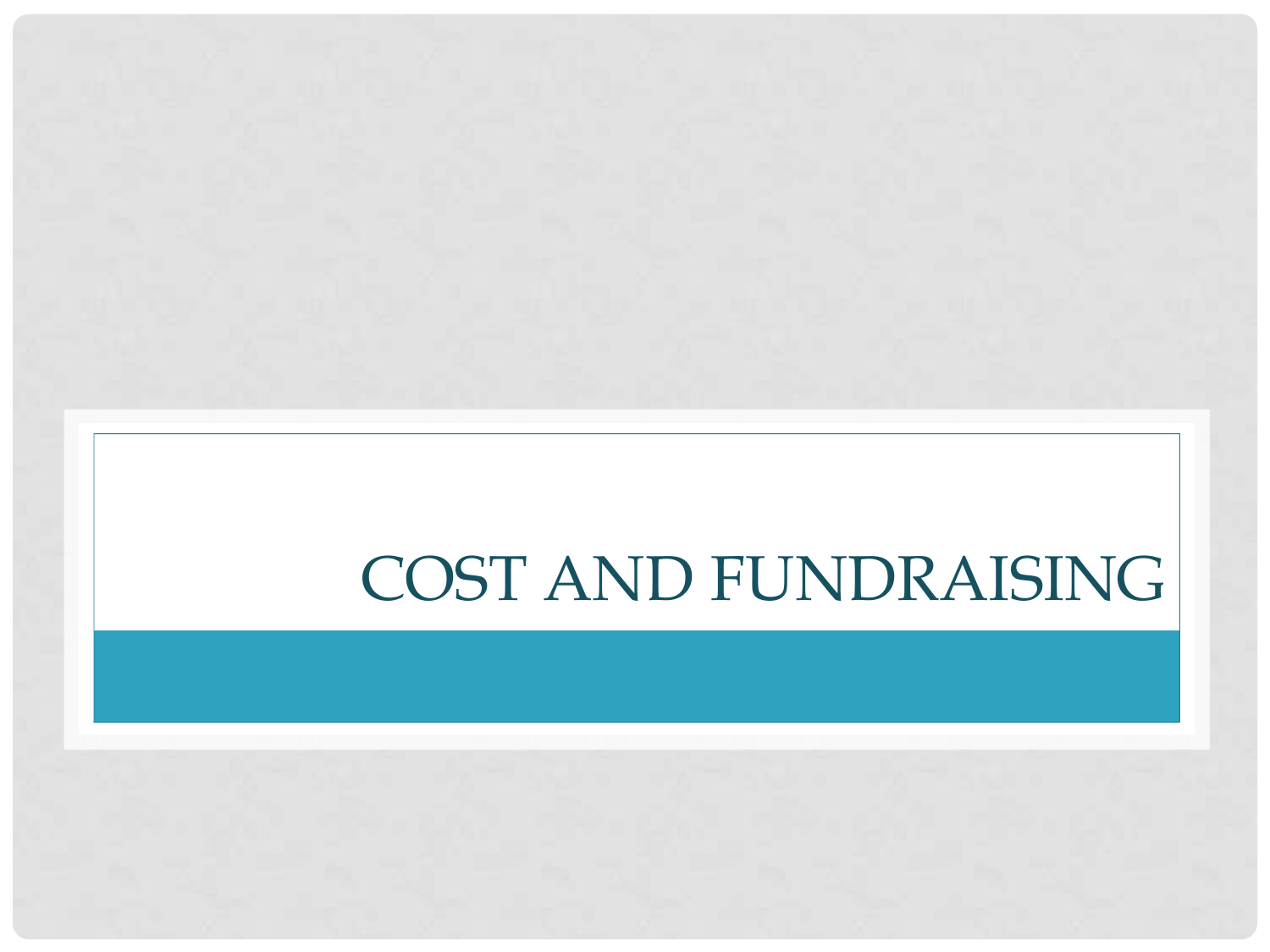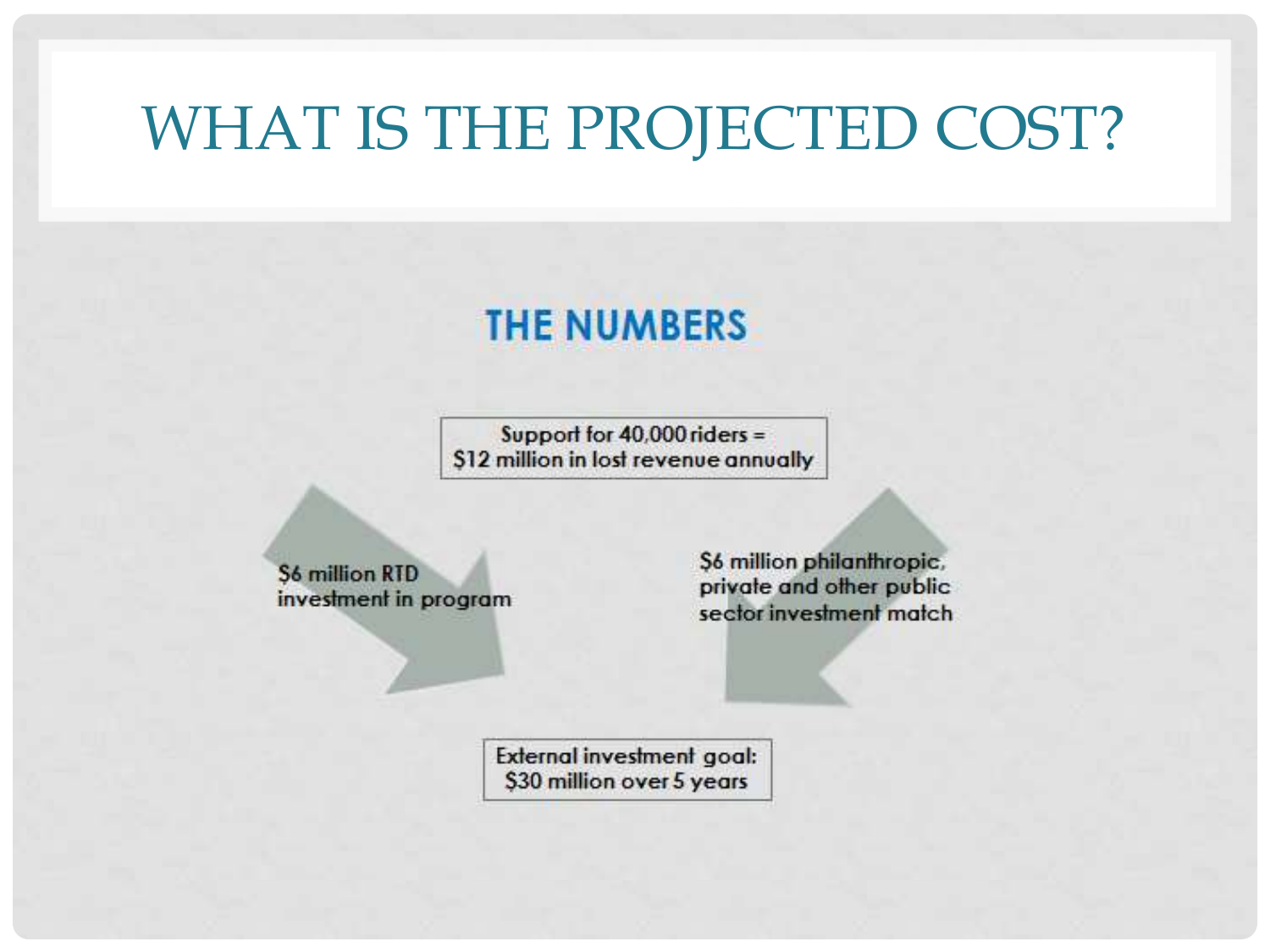### WHAT IS THE PROJECTED COST?

### **THE NUMBERS**

Support for  $40,000$  riders = \$12 million in lost revenue annually

**S6 million RTD** investment in program S6 million philanthropic, private and other public sector investment match

External investment goal: \$30 million over 5 years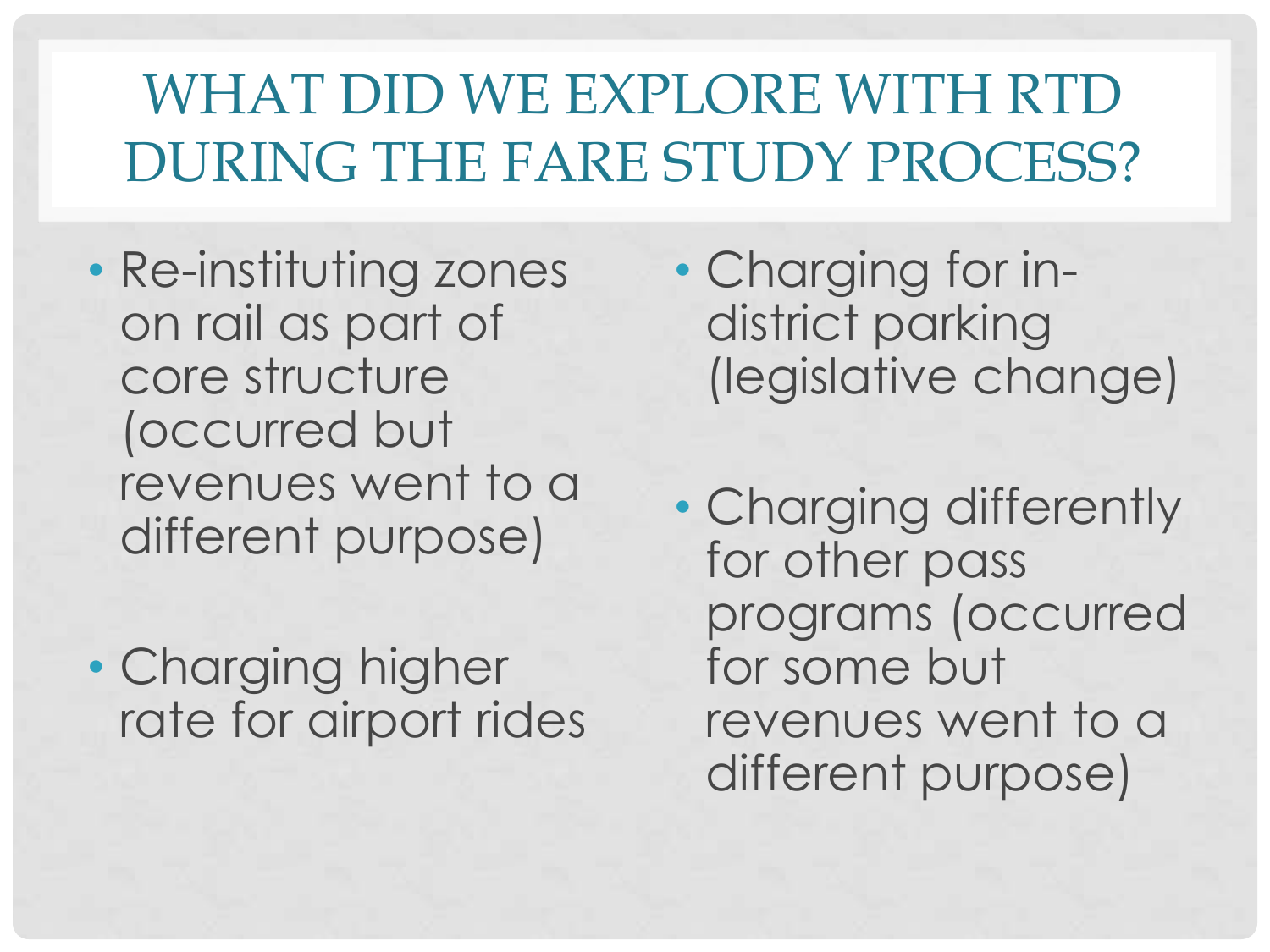# WHAT DID WE EXPLORE WITH RTD DURING THE FARE STUDY PROCESS?

- Re-instituting zones on rail as part of core structure (occurred but revenues went to a different purpose)
- Charging higher rate for airport rides

• Charging for indistrict parking (legislative change)

• Charging differently for other pass programs (occurred for some but revenues went to a different purpose)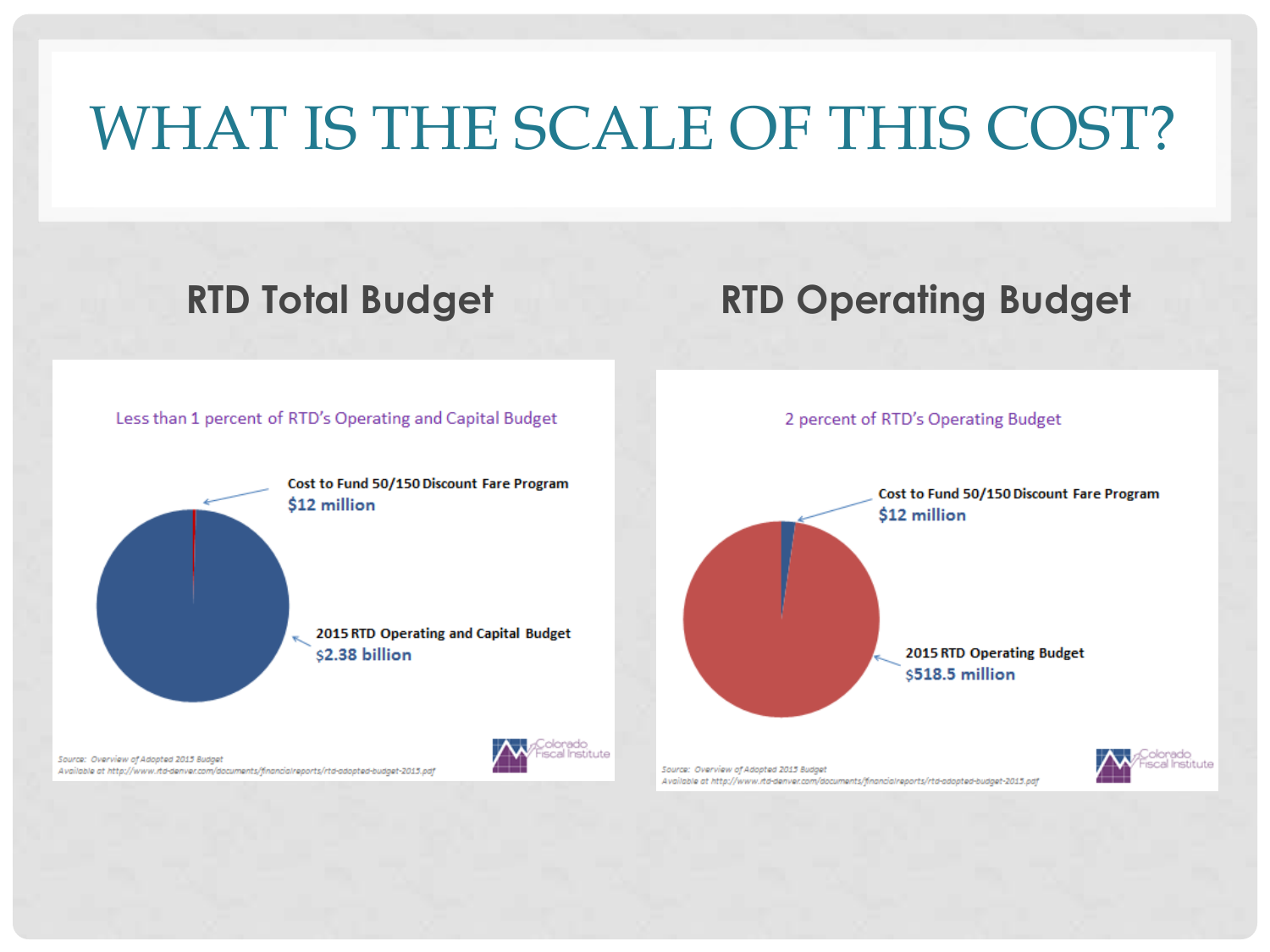# WHAT IS THE SCALE OF THIS COST?

### **RTD Total Budget RTD Operating Budget**

Less than 1 percent of RTD's Operating and Capital Budget

Cost to Fund 50/150 Discount Fare Program \$12 million 2015 RTD Operating and Capital Budget \$2.38 billion

Source: Overview of Adopted 2015 Budget Available at http://www.rtd-denver.com/documents/financialreports/rtd-adopted-budget-2013.pdf al Institute

2 percent of RTD's Operating Budget

Cost to Fund 50/150 Discount Fare Program \$12 million 2015 RTD Operating Budget \$518.5 million



Source: Overview of Adopted 2015 Budget Available at http://www.rtd-denver.com/documents/financialreports/rtd-adopted-budget-2013.pdf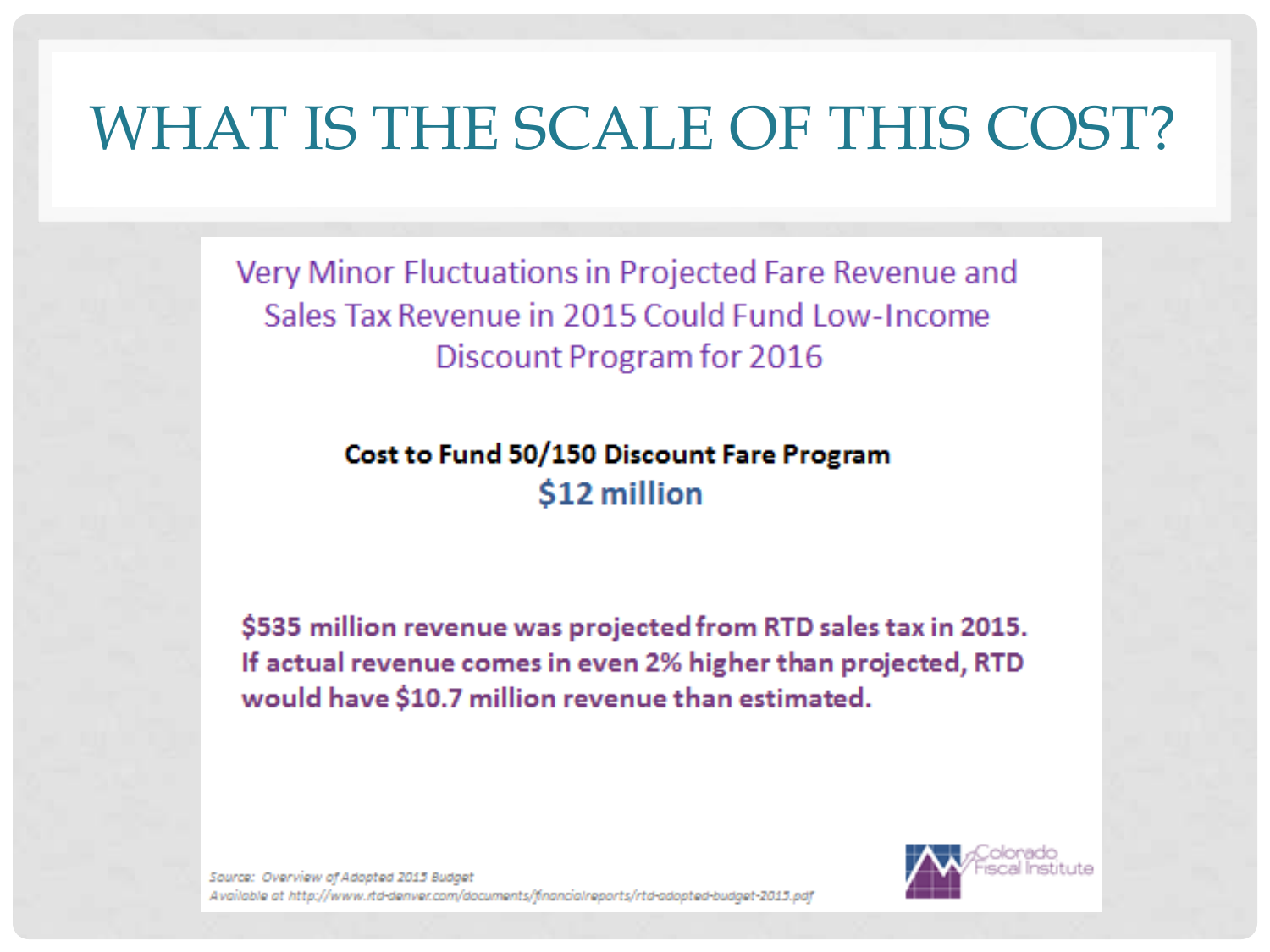# WHAT IS THE SCALE OF THIS COST?

Very Minor Fluctuations in Projected Fare Revenue and Sales Tax Revenue in 2015 Could Fund Low-Income Discount Program for 2016

> Cost to Fund 50/150 Discount Fare Program \$12 million

\$535 million revenue was projected from RTD sales tax in 2015. If actual revenue comes in even 2% higher than projected, RTD would have \$10.7 million revenue than estimated.

Source: Overview of Adopted 2015 Budget Available at http://www.rtd-denver.com/documents/financialreports/rtd-adopted-budget-2013.pdf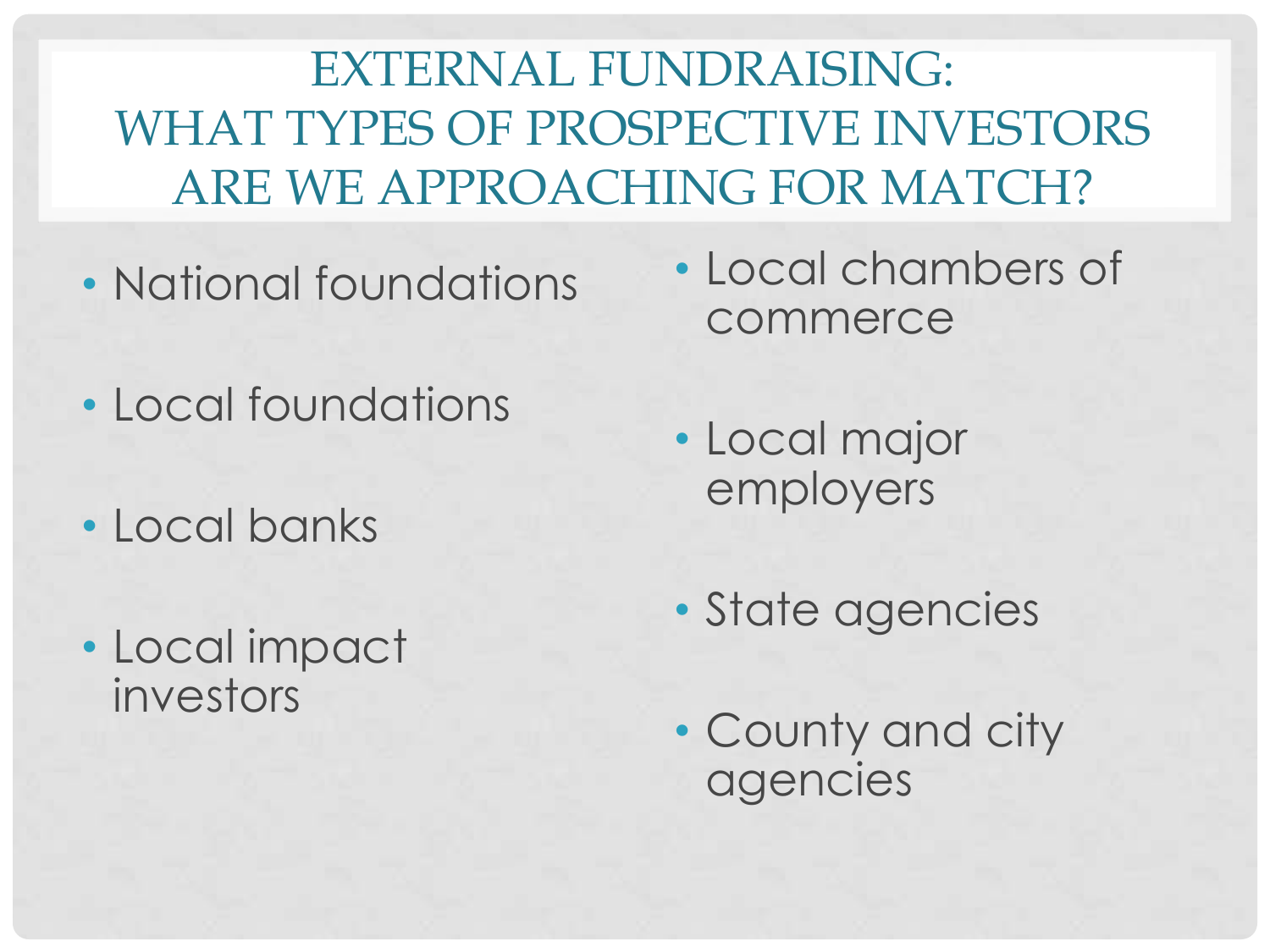EXTERNAL FUNDRAISING: WHAT TYPES OF PROSPECTIVE INVESTORS ARE WE APPROACHING FOR MATCH?

- National foundations
- Local foundations
- Local banks
- Local impact investors
- Local chambers of commerce
- Local major employers
- State agencies
- County and city agencies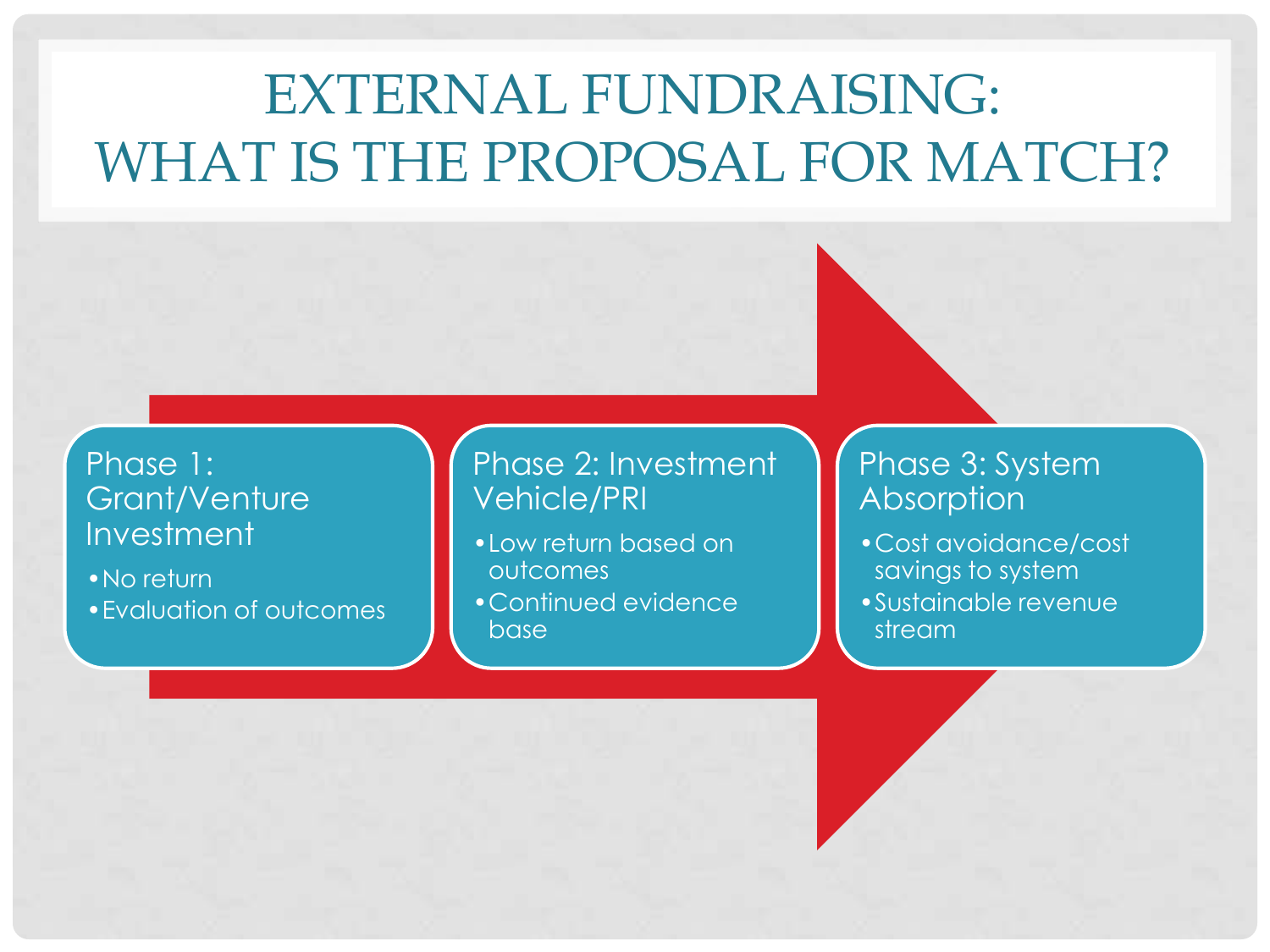### EXTERNAL FUNDRAISING: WHAT IS THE PROPOSAL FOR MATCH?

### Phase 1: Grant/Venture Investment

•No return

•Evaluation of outcomes

Phase 2: Investment Vehicle/PRI

- •Low return based on outcomes
- •Continued evidence base

### Phase 3: System Absorption

- •Cost avoidance/cost savings to system
- •Sustainable revenue stream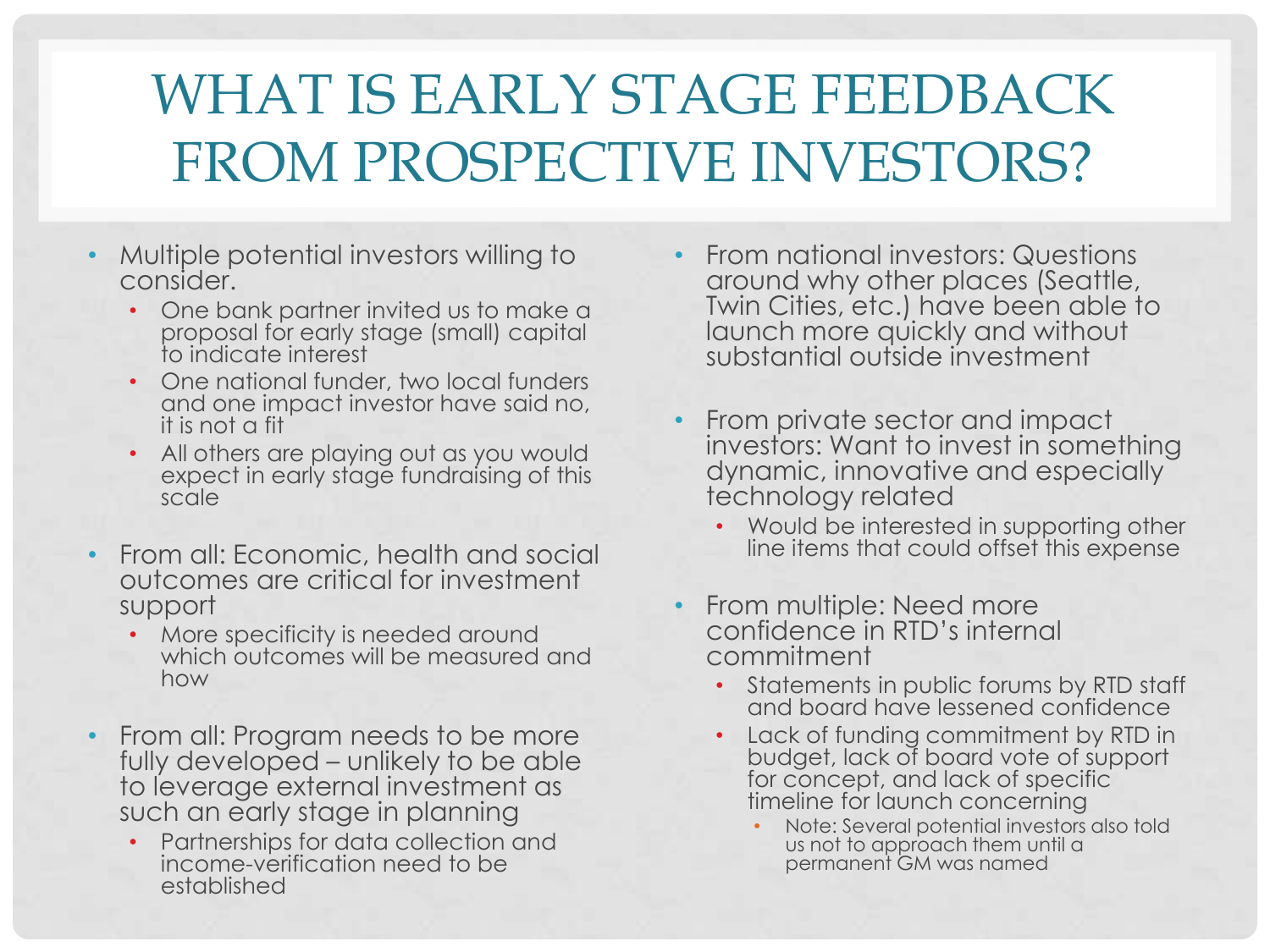# WHAT IS EARLY STAGE FEEDBACK FROM PROSPECTIVE INVESTORS?

- Multiple potential investors willing to consider.
	- One bank partner invited us to make a proposal for early stage (small) capital to indicate interest
	- One national funder, two local funders and one impact investor have said no, it is not a fit
	- All others are playing out as you would expect in early stage fundraising of this scale
- From all: Economic, health and social outcomes are critical for investment support
	- More specificity is needed around which outcomes will be measured and how
- From all: Program needs to be more fully developed – unlikely to be able to leverage external investment as such an early stage in planning
	- Partnerships for data collection and income-verification need to be established
- From national investors: Questions around why other places (Seattle, Twin Cities, etc.) have been able to launch more quickly and without substantial outside investment
- From private sector and impact investors: Want to invest in something dynamic, innovative and especially technology related
	- Would be interested in supporting other line items that could offset this expense
- From multiple: Need more confidence in RTD's internal commitment
	- Statements in public forums by RTD staff and board have lessened confidence
	- Lack of funding commitment by RTD in budget, lack of board vote of support for concept, and lack of specific timeline for launch concerning
		- Note: Several potential investors also told us not to approach them until a permanent GM was named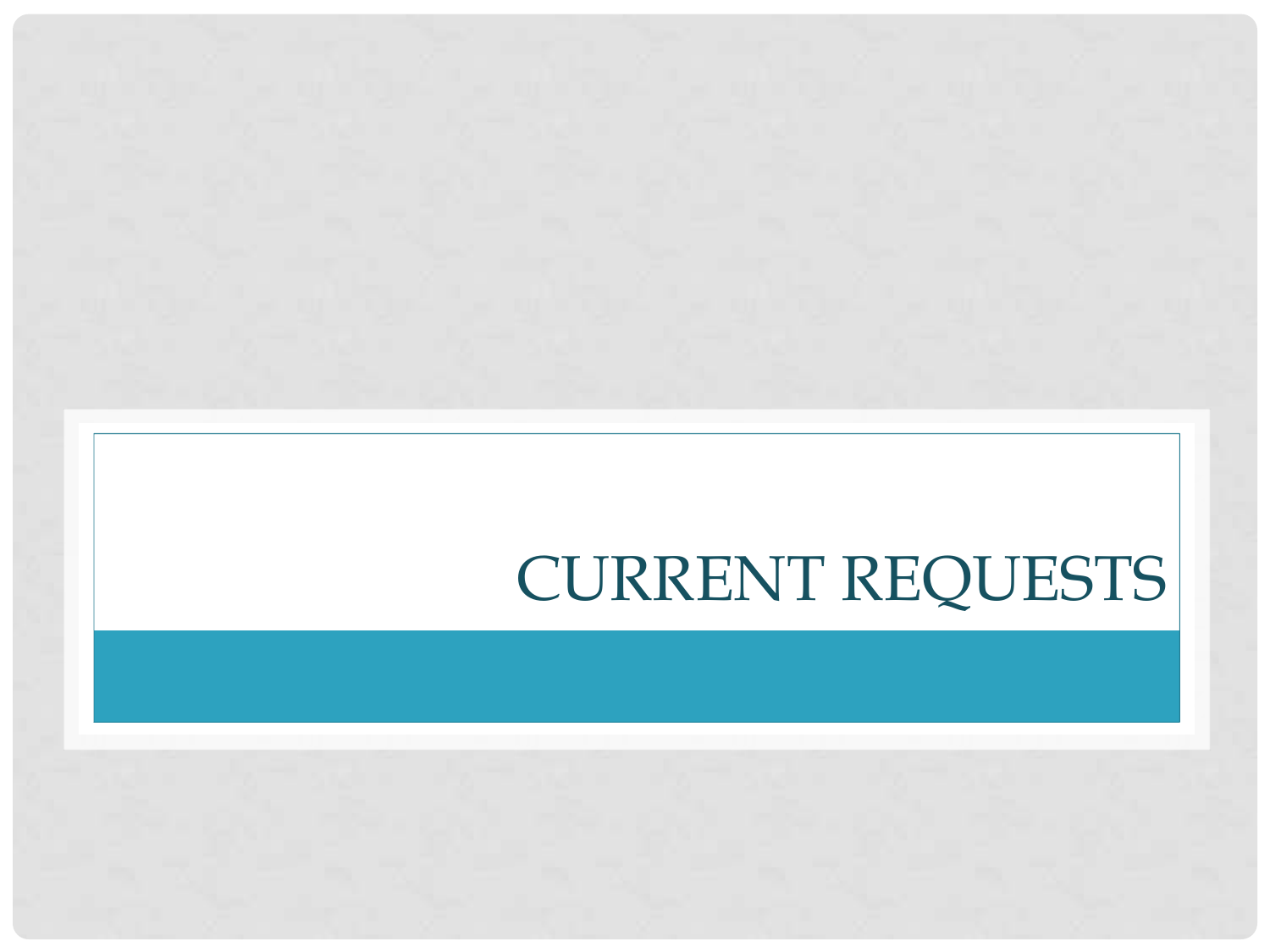